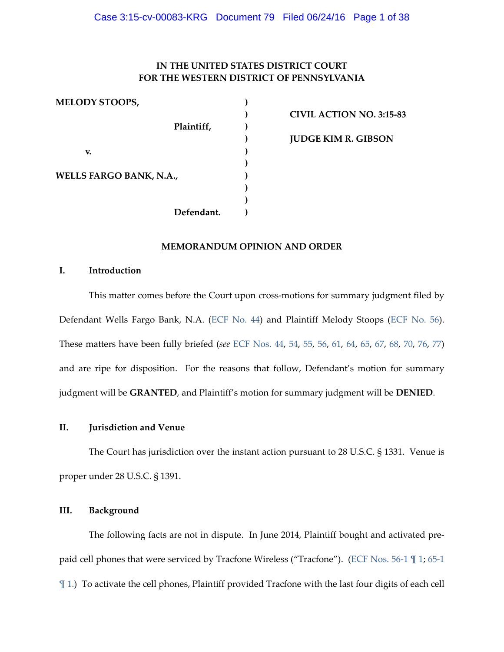# **IN THE UNITED STATES DISTRICT COURT FOR THE WESTERN DISTRICT OF PENNSYLVANIA**

**MELODY STOOPS, ) Plaintiff, ) v. ) WELLS FARGO BANK, N.A., ) Defendant. )**

**) CIVIL ACTION NO. 3:15-83 ) JUDGE KIM R. GIBSON**

# **MEMORANDUM OPINION AND ORDER**

**)**

**) )**

## **I. Introduction**

This matter comes before the Court upon cross-motions for summary judgment filed by Defendant Wells Fargo Bank, N.A. [\(ECF No. 44\)](https://ecf.pawd.uscourts.gov/doc1/15715012885) and Plaintiff Melody Stoops [\(ECF No. 56\)](https://ecf.pawd.uscourts.gov/doc1/15715062301). These matters have been fully briefed (*see* [ECF Nos. 44,](https://ecf.pawd.uscourts.gov/doc1/15715012885) [54,](https://ecf.pawd.uscourts.gov/doc1/15715053672) [55,](https://ecf.pawd.uscourts.gov/doc1/15715053688) [56,](https://ecf.pawd.uscourts.gov/doc1/15715062301) [61,](https://ecf.pawd.uscourts.gov/doc1/15715071634) [64,](https://ecf.pawd.uscourts.gov/doc1/15715081194) [65,](https://ecf.pawd.uscourts.gov/doc1/15715100982) [67,](https://ecf.pawd.uscourts.gov/doc1/15715112628) [68,](https://ecf.pawd.uscourts.gov/cgi-bin/show_multidocs.pl?caseid=222807&arr_de_seq_nums=196&magic_num=&pdf_header=1&hdr=&pdf_toggle_possible=1) [70,](https://ecf.pawd.uscourts.gov/doc1/15715131404) [76,](https://ecf.pawd.uscourts.gov/cgi-bin/show_multidocs.pl?caseid=222807&arr_de_seq_nums=218&magic_num=&pdf_header=1&hdr=&pdf_toggle_possible=1) [77\)](https://ecf.pawd.uscourts.gov/cgi-bin/show_multidocs.pl?caseid=222807&arr_de_seq_nums=220&magic_num=&pdf_header=1&hdr=&pdf_toggle_possible=1) and are ripe for disposition. For the reasons that follow, Defendant's motion for summary judgment will be **GRANTED**, and Plaintiff's motion for summary judgment will be **DENIED**.

# **II. Jurisdiction and Venue**

The Court has jurisdiction over the instant action pursuant to 28 U.S.C. § 1331. Venue is proper under 28 U.S.C. § 1391.

# **III. Background**

The following facts are not in dispute. In June 2014, Plaintiff bought and activated prepaid cell phones that were serviced by Tracfone Wireless ("Tracfone"). [\(ECF Nos. 56-1 ¶ 1;](https://ecf.pawd.uscourts.gov/doc1/15715062302) [65-1](https://ecf.pawd.uscourts.gov/doc1/15715100983)  [¶ 1.\)](https://ecf.pawd.uscourts.gov/doc1/15715100983) To activate the cell phones, Plaintiff provided Tracfone with the last four digits of each cell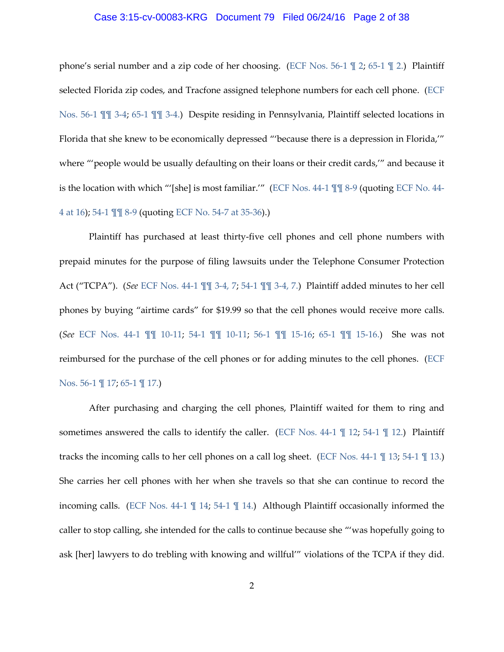#### Case 3:15-cv-00083-KRG Document 79 Filed 06/24/16 Page 2 of 38

phone's serial number and a zip code of her choosing. (ECF Nos. 56-1  $\mathbb{I}$  2; 65-1  $\mathbb{I}$  2.) Plaintiff selected Florida zip codes, and Tracfone assigned telephone numbers for each cell phone. [\(ECF](https://ecf.pawd.uscourts.gov/doc1/15715062302)  [Nos. 56-1 ¶¶ 3-4;](https://ecf.pawd.uscourts.gov/doc1/15715062302) [65-1 ¶¶ 3-4.\)](https://ecf.pawd.uscourts.gov/doc1/15715100983) Despite residing in Pennsylvania, Plaintiff selected locations in Florida that she knew to be economically depressed "'because there is a depression in Florida,'" where "'people would be usually defaulting on their loans or their credit cards,'" and because it is the location with which "'[she] is most familiar.'" [\(ECF Nos. 44-1 ¶¶ 8-9](https://ecf.pawd.uscourts.gov/doc1/15715012886) (quoting [ECF No. 44-](https://ecf.pawd.uscourts.gov/doc1/15715012889) [4 at 16\)](https://ecf.pawd.uscourts.gov/doc1/15715012889); [54-1 ¶¶ 8-9](https://ecf.pawd.uscourts.gov/doc1/15715053673) (quotin[g ECF No. 54-7 at 35-36\)](https://ecf.pawd.uscourts.gov/doc1/15715053679).)

Plaintiff has purchased at least thirty-five cell phones and cell phone numbers with prepaid minutes for the purpose of filing lawsuits under the Telephone Consumer Protection Act ("TCPA"). (*See* [ECF Nos. 44-1 ¶¶ 3-4, 7;](https://ecf.pawd.uscourts.gov/doc1/15715012886) [54-1 ¶¶ 3-4, 7.\)](https://ecf.pawd.uscourts.gov/doc1/15715053673) Plaintiff added minutes to her cell phones by buying "airtime cards" for \$19.99 so that the cell phones would receive more calls. (*See* [ECF Nos. 44-1 ¶¶](https://ecf.pawd.uscourts.gov/doc1/15715012886) 10-11; [54-1 ¶¶](https://ecf.pawd.uscourts.gov/doc1/15715053673) 10-11; [56-1 ¶¶](https://ecf.pawd.uscourts.gov/doc1/15715062302) 15-16; [65-1 ¶¶](https://ecf.pawd.uscourts.gov/doc1/15715100983) 15-16.) She was not reimbursed for the purchase of the cell phones or for adding minutes to the cell phones. [\(ECF](https://ecf.pawd.uscourts.gov/doc1/15715062302)  [Nos. 56-1 ¶ 17;](https://ecf.pawd.uscourts.gov/doc1/15715062302) [65-1 ¶ 17.\)](https://ecf.pawd.uscourts.gov/doc1/15715100983)

After purchasing and charging the cell phones, Plaintiff waited for them to ring and sometimes answered the calls to identify the caller. (ECF Nos. 44-1 \[ 12; 54-1 \[ 12.) Plaintiff tracks the incoming calls to her cell phones on a call log sheet. [\(ECF Nos. 44-1 ¶ 13;](https://ecf.pawd.uscourts.gov/doc1/15715012886) [54-1 ¶ 13.\)](https://ecf.pawd.uscourts.gov/doc1/15715053673) She carries her cell phones with her when she travels so that she can continue to record the incoming calls. (ECF Nos. 44-1 \[ 14; 54-1 \] 14.) Although Plaintiff occasionally informed the caller to stop calling, she intended for the calls to continue because she "'was hopefully going to ask [her] lawyers to do trebling with knowing and willful'" violations of the TCPA if they did.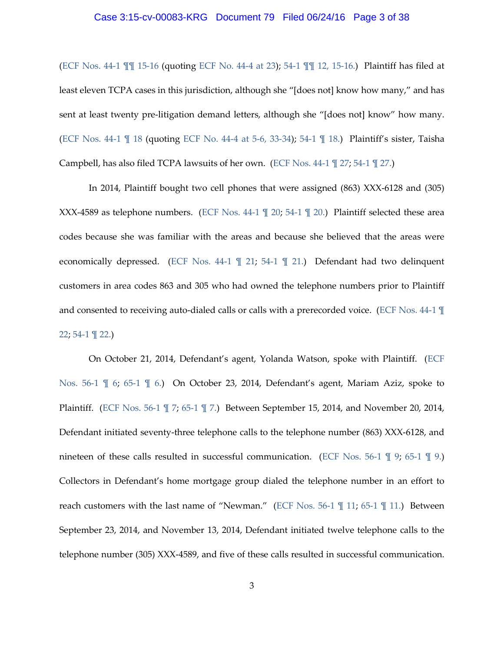#### Case 3:15-cv-00083-KRG Document 79 Filed 06/24/16 Page 3 of 38

[\(ECF Nos. 44-1 ¶¶ 15-16](https://ecf.pawd.uscourts.gov/doc1/15715012886) (quoting [ECF No. 44-4 at 23\)](https://ecf.pawd.uscourts.gov/doc1/15715012889); [54-1 ¶¶ 12, 15-16.\)](https://ecf.pawd.uscourts.gov/doc1/15715053673) Plaintiff has filed at least eleven TCPA cases in this jurisdiction, although she "[does not] know how many," and has sent at least twenty pre-litigation demand letters, although she "[does not] know" how many. [\(ECF Nos. 44-1 ¶ 18](https://ecf.pawd.uscourts.gov/doc1/15715012886) (quoting [ECF No. 44-4 at 5-6, 33-34\)](https://ecf.pawd.uscourts.gov/doc1/15715012889); [54-1 ¶ 18.\)](https://ecf.pawd.uscourts.gov/doc1/15715053673) Plaintiff's sister, Taisha Campbell, has also filed TCPA lawsuits of her own. (ECF Nos.  $44-1 \nparallel 27$ ; 54-1  $\nparallel 27$ .)

In 2014, Plaintiff bought two cell phones that were assigned (863) XXX-6128 and (305) XXX-4589 as telephone numbers. [\(ECF Nos. 44-1 ¶ 20;](https://ecf.pawd.uscourts.gov/doc1/15715012886) [54-1 ¶ 20.\)](https://ecf.pawd.uscourts.gov/doc1/15715053673) Plaintiff selected these area codes because she was familiar with the areas and because she believed that the areas were economically depressed. [\(ECF Nos. 44-1 ¶ 21;](https://ecf.pawd.uscourts.gov/doc1/15715012886) [54-1 ¶ 21.\)](https://ecf.pawd.uscourts.gov/doc1/15715053673) Defendant had two delinquent customers in area codes 863 and 305 who had owned the telephone numbers prior to Plaintiff and consented to receiving auto-dialed calls or calls with a prerecorded voice. [\(ECF Nos. 44-1 ¶](https://ecf.pawd.uscourts.gov/doc1/15715012886)  [22;](https://ecf.pawd.uscourts.gov/doc1/15715012886) [54-1 ¶ 22.\)](https://ecf.pawd.uscourts.gov/doc1/15715053673)

On October 21, 2014, Defendant's agent, Yolanda Watson, spoke with Plaintiff. [\(ECF](https://ecf.pawd.uscourts.gov/doc1/15715062302)  [Nos. 56-1 ¶ 6;](https://ecf.pawd.uscourts.gov/doc1/15715062302) [65-1 ¶ 6.\)](https://ecf.pawd.uscourts.gov/doc1/15715100983) On October 23, 2014, Defendant's agent, Mariam Aziz, spoke to Plaintiff. [\(ECF Nos. 56-1 ¶ 7;](https://ecf.pawd.uscourts.gov/doc1/15715062302) [65-1 ¶ 7.\)](https://ecf.pawd.uscourts.gov/doc1/15715100983) Between September 15, 2014, and November 20, 2014, Defendant initiated seventy-three telephone calls to the telephone number (863) XXX-6128, and nineteen of these calls resulted in successful communication. (ECF Nos. 56-1 \imegeral 9; 65-1 \imegeral 9.) Collectors in Defendant's home mortgage group dialed the telephone number in an effort to reach customers with the last name of "Newman." (ECF Nos. 56-1 \indeed 11; 65-1 \indeed 11.) Between September 23, 2014, and November 13, 2014, Defendant initiated twelve telephone calls to the telephone number (305) XXX-4589, and five of these calls resulted in successful communication.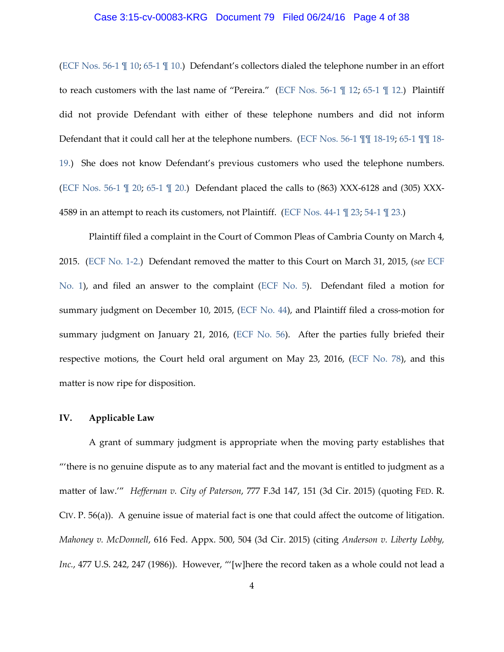## Case 3:15-cv-00083-KRG Document 79 Filed 06/24/16 Page 4 of 38

[\(ECF Nos. 56-1 ¶ 10;](https://ecf.pawd.uscourts.gov/doc1/15715062302) [65-1 ¶ 10.\)](https://ecf.pawd.uscourts.gov/doc1/15715100983) Defendant's collectors dialed the telephone number in an effort to reach customers with the last name of "Pereira." [\(ECF Nos. 56-1 ¶ 12;](https://ecf.pawd.uscourts.gov/doc1/15715062302) [65-1 ¶ 12.\)](https://ecf.pawd.uscourts.gov/doc1/15715100983) Plaintiff did not provide Defendant with either of these telephone numbers and did not inform Defendant that it could call her at the telephone numbers. [\(ECF Nos. 56-1 ¶¶](https://ecf.pawd.uscourts.gov/doc1/15715062302) 18-19; [65-1 ¶¶](https://ecf.pawd.uscourts.gov/doc1/15715100983) 18- [19.\)](https://ecf.pawd.uscourts.gov/doc1/15715100983) She does not know Defendant's previous customers who used the telephone numbers. [\(ECF Nos. 56-1 ¶ 20;](https://ecf.pawd.uscourts.gov/doc1/15715062302) [65-1 ¶ 20.\)](https://ecf.pawd.uscourts.gov/doc1/15715100983) Defendant placed the calls to (863) XXX-6128 and (305) XXX-4589 in an attempt to reach its customers, not Plaintiff. [\(ECF Nos. 44-1 ¶ 23;](https://ecf.pawd.uscourts.gov/doc1/15715012886) [54-1 ¶ 23.\)](https://ecf.pawd.uscourts.gov/doc1/15715053673)

Plaintiff filed a complaint in the Court of Common Pleas of Cambria County on March 4, 2015. [\(ECF No. 1-2.\)](https://ecf.pawd.uscourts.gov/doc1/15714682713) Defendant removed the matter to this Court on March 31, 2015, (*see* [ECF](https://ecf.pawd.uscourts.gov/doc1/15714682711)  [No. 1\)](https://ecf.pawd.uscourts.gov/doc1/15714682711), and filed an answer to the complaint [\(ECF No. 5\)](https://ecf.pawd.uscourts.gov/doc1/15714705666). Defendant filed a motion for summary judgment on December 10, 2015, [\(ECF No. 44\)](https://ecf.pawd.uscourts.gov/doc1/15715012885), and Plaintiff filed a cross-motion for summary judgment on January 21, 2016, [\(ECF No. 56\)](https://ecf.pawd.uscourts.gov/doc1/15715062301). After the parties fully briefed their respective motions, the Court held oral argument on May 23, 2016, [\(ECF No. 78\)](https://ecf.pawd.uscourts.gov/doc1/15715231087), and this matter is now ripe for disposition.

## **IV. Applicable Law**

A grant of summary judgment is appropriate when the moving party establishes that "'there is no genuine dispute as to any material fact and the movant is entitled to judgment as a matter of law.'" *Heffernan v. City of Paterson*, 777 F.3d 147, 151 (3d Cir. 2015) (quoting FED. R. CIV. P. 56(a)). A genuine issue of material fact is one that could affect the outcome of litigation. *Mahoney v. McDonnell*, 616 Fed. Appx. 500, 504 (3d Cir. 2015) (citing *Anderson v. Liberty Lobby, Inc.*, 477 U.S. 242, 247 (1986)). However, "'[w]here the record taken as a whole could not lead a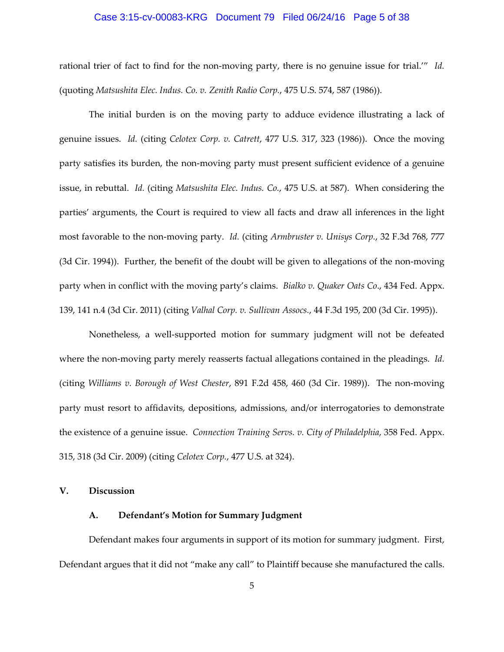## Case 3:15-cv-00083-KRG Document 79 Filed 06/24/16 Page 5 of 38

rational trier of fact to find for the non-moving party, there is no genuine issue for trial.'" *Id.* (quoting *Matsushita Elec. Indus. Co. v. Zenith Radio Corp.*, 475 U.S. 574, 587 (1986)).

The initial burden is on the moving party to adduce evidence illustrating a lack of genuine issues. *Id.* (citing *Celotex Corp. v. Catrett*, 477 U.S. 317, 323 (1986)). Once the moving party satisfies its burden, the non-moving party must present sufficient evidence of a genuine issue, in rebuttal. *Id.* (citing *Matsushita Elec. Indus. Co.*, 475 U.S. at 587). When considering the parties' arguments, the Court is required to view all facts and draw all inferences in the light most favorable to the non-moving party. *Id.* (citing *Armbruster v. Unisys Corp.*, 32 F.3d 768, 777 (3d Cir. 1994)). Further, the benefit of the doubt will be given to allegations of the non-moving party when in conflict with the moving party's claims. *Bialko v. Quaker Oats Co*., 434 Fed. Appx. 139, 141 n.4 (3d Cir. 2011) (citing *Valhal Corp. v. Sullivan Assocs.*, 44 F.3d 195, 200 (3d Cir. 1995)).

Nonetheless, a well-supported motion for summary judgment will not be defeated where the non-moving party merely reasserts factual allegations contained in the pleadings. *Id.* (citing *Williams v. Borough of West Chester*, 891 F.2d 458, 460 (3d Cir. 1989)). The non-moving party must resort to affidavits, depositions, admissions, and/or interrogatories to demonstrate the existence of a genuine issue. *Connection Training Servs. v. City of Philadelphia*, 358 Fed. Appx. 315, 318 (3d Cir. 2009) (citing *Celotex Corp.*, 477 U.S. at 324).

# **V. Discussion**

# **A. Defendant's Motion for Summary Judgment**

Defendant makes four arguments in support of its motion for summary judgment. First, Defendant argues that it did not "make any call" to Plaintiff because she manufactured the calls.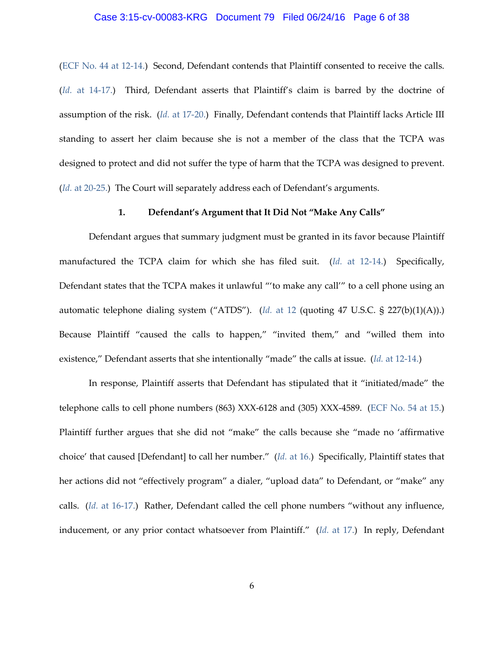## Case 3:15-cv-00083-KRG Document 79 Filed 06/24/16 Page 6 of 38

[\(ECF No. 44 at 12-14.\)](https://ecf.pawd.uscourts.gov/doc1/15715012885) Second, Defendant contends that Plaintiff consented to receive the calls. (*Id.* [at 14-17.\)](https://ecf.pawd.uscourts.gov/doc1/15715012885) Third, Defendant asserts that Plaintiff's claim is barred by the doctrine of assumption of the risk. (*Id.* [at 17-20.\)](https://ecf.pawd.uscourts.gov/doc1/15715012885) Finally, Defendant contends that Plaintiff lacks Article III standing to assert her claim because she is not a member of the class that the TCPA was designed to protect and did not suffer the type of harm that the TCPA was designed to prevent. (*Id.* [at 20-25.\)](https://ecf.pawd.uscourts.gov/doc1/15715012885) The Court will separately address each of Defendant's arguments.

# **1. Defendant's Argument that It Did Not "Make Any Calls"**

Defendant argues that summary judgment must be granted in its favor because Plaintiff manufactured the TCPA claim for which she has filed suit. (*Id.* [at 12-14.\)](https://ecf.pawd.uscourts.gov/doc1/15715012885) Specifically, Defendant states that the TCPA makes it unlawful "'to make any call'" to a cell phone using an automatic telephone dialing system ("ATDS"). (*Id.* [at 12](https://ecf.pawd.uscourts.gov/doc1/15715012885) (quoting 47 U.S.C. § 227(b)(1)(A)).) Because Plaintiff "caused the calls to happen," "invited them," and "willed them into existence," Defendant asserts that she intentionally "made" the calls at issue. (*Id.* [at 12-14.\)](https://ecf.pawd.uscourts.gov/doc1/15715012885)

In response, Plaintiff asserts that Defendant has stipulated that it "initiated/made" the telephone calls to cell phone numbers (863) XXX-6128 and (305) XXX-4589. [\(ECF No. 54 at 15.\)](https://ecf.pawd.uscourts.gov/doc1/15715053672) Plaintiff further argues that she did not "make" the calls because she "made no 'affirmative choice' that caused [Defendant] to call her number." (*Id.* [at 16.\)](https://ecf.pawd.uscourts.gov/doc1/15715053672) Specifically, Plaintiff states that her actions did not "effectively program" a dialer, "upload data" to Defendant, or "make" any calls. (*Id.* [at 16-17.\)](https://ecf.pawd.uscourts.gov/doc1/15715053672) Rather, Defendant called the cell phone numbers "without any influence, inducement, or any prior contact whatsoever from Plaintiff." (*Id.* [at 17.\)](https://ecf.pawd.uscourts.gov/doc1/15715053672) In reply, Defendant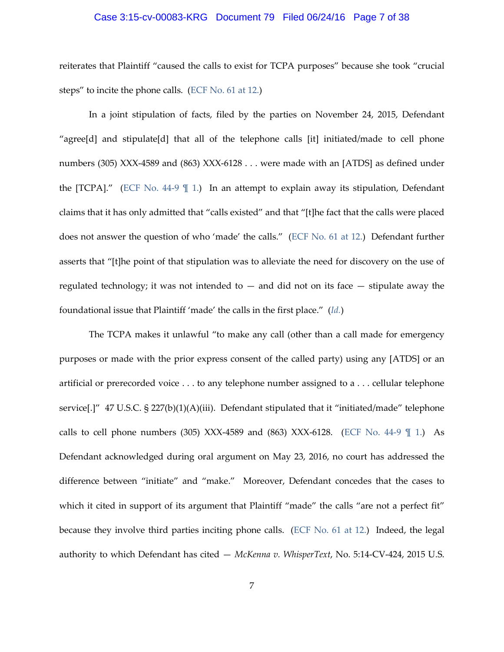## Case 3:15-cv-00083-KRG Document 79 Filed 06/24/16 Page 7 of 38

reiterates that Plaintiff "caused the calls to exist for TCPA purposes" because she took "crucial steps" to incite the phone calls. [\(ECF No. 61 at 12.\)](https://ecf.pawd.uscourts.gov/doc1/15715071634)

In a joint stipulation of facts, filed by the parties on November 24, 2015, Defendant "agree[d] and stipulate[d] that all of the telephone calls [it] initiated/made to cell phone numbers (305) XXX-4589 and (863) XXX-6128 . . . were made with an [ATDS] as defined under the [TCPA]." [\(ECF No. 44-9 ¶ 1.\)](https://ecf.pawd.uscourts.gov/doc1/15715012894) In an attempt to explain away its stipulation, Defendant claims that it has only admitted that "calls existed" and that "[t]he fact that the calls were placed does not answer the question of who 'made' the calls." [\(ECF No. 61 at 12.\)](https://ecf.pawd.uscourts.gov/doc1/15715071634) Defendant further asserts that "[t]he point of that stipulation was to alleviate the need for discovery on the use of regulated technology; it was not intended to  $-$  and did not on its face  $-$  stipulate away the foundational issue that Plaintiff 'made' the calls in the first place." (*[Id.](https://ecf.pawd.uscourts.gov/doc1/15715071634)*)

The TCPA makes it unlawful "to make any call (other than a call made for emergency purposes or made with the prior express consent of the called party) using any [ATDS] or an artificial or prerecorded voice . . . to any telephone number assigned to a . . . cellular telephone service[.]" 47 U.S.C. § 227(b)(1)(A)(iii). Defendant stipulated that it "initiated/made" telephone calls to cell phone numbers (305) XXX-4589 and (863) XXX-6128. (ECF No. 44-9  $\parallel$  1.) As Defendant acknowledged during oral argument on May 23, 2016, no court has addressed the difference between "initiate" and "make." Moreover, Defendant concedes that the cases to which it cited in support of its argument that Plaintiff "made" the calls "are not a perfect fit" because they involve third parties inciting phone calls. [\(ECF No. 61 at 12.\)](https://ecf.pawd.uscourts.gov/doc1/15715071634) Indeed, the legal authority to which Defendant has cited — *McKenna v. WhisperText*, No. 5:14-CV-424, 2015 U.S.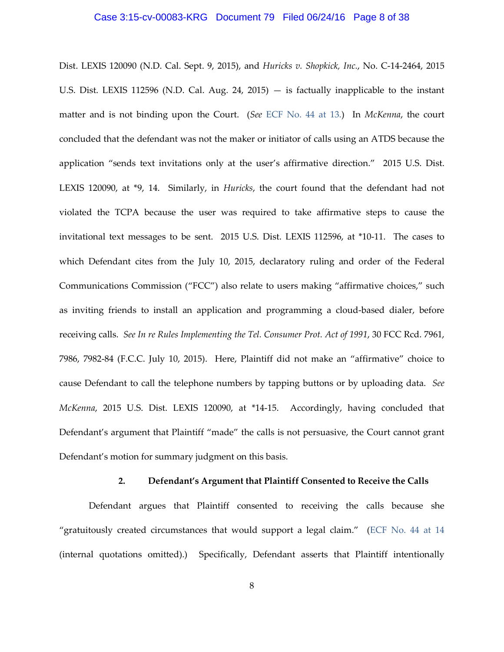## Case 3:15-cv-00083-KRG Document 79 Filed 06/24/16 Page 8 of 38

Dist. LEXIS 120090 (N.D. Cal. Sept. 9, 2015), and *Huricks v. Shopkick, Inc.*, No. C-14-2464, 2015 U.S. Dist. LEXIS 112596 (N.D. Cal. Aug. 24, 2015)  $-$  is factually inapplicable to the instant matter and is not binding upon the Court. (*See* [ECF No. 44 at 13.\)](https://ecf.pawd.uscourts.gov/doc1/15715012885) In *McKenna*, the court concluded that the defendant was not the maker or initiator of calls using an ATDS because the application "sends text invitations only at the user's affirmative direction." 2015 U.S. Dist. LEXIS 120090, at \*9, 14. Similarly, in *Huricks*, the court found that the defendant had not violated the TCPA because the user was required to take affirmative steps to cause the invitational text messages to be sent. 2015 U.S. Dist. LEXIS 112596, at \*10-11. The cases to which Defendant cites from the July 10, 2015, declaratory ruling and order of the Federal Communications Commission ("FCC") also relate to users making "affirmative choices," such as inviting friends to install an application and programming a cloud-based dialer, before receiving calls. *See In re Rules Implementing the Tel. Consumer Prot. Act of 1991*, 30 FCC Rcd. 7961, 7986, 7982-84 (F.C.C. July 10, 2015). Here, Plaintiff did not make an "affirmative" choice to cause Defendant to call the telephone numbers by tapping buttons or by uploading data. *See McKenna*, 2015 U.S. Dist. LEXIS 120090, at \*14-15. Accordingly, having concluded that Defendant's argument that Plaintiff "made" the calls is not persuasive, the Court cannot grant Defendant's motion for summary judgment on this basis.

## **2. Defendant's Argument that Plaintiff Consented to Receive the Calls**

Defendant argues that Plaintiff consented to receiving the calls because she "gratuitously created circumstances that would support a legal claim." [\(ECF No. 44 at 14](https://ecf.pawd.uscourts.gov/doc1/15715012885) (internal quotations omitted).) Specifically, Defendant asserts that Plaintiff intentionally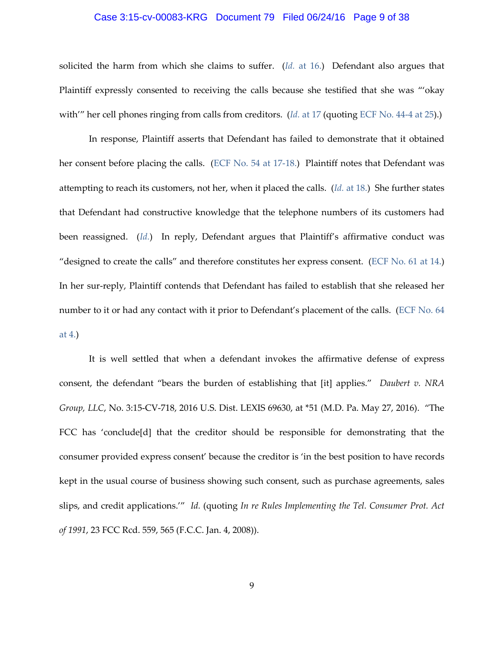#### Case 3:15-cv-00083-KRG Document 79 Filed 06/24/16 Page 9 of 38

solicited the harm from which she claims to suffer. (*Id.* [at 16.\)](https://ecf.pawd.uscourts.gov/doc1/15715012885) Defendant also argues that Plaintiff expressly consented to receiving the calls because she testified that she was "'okay with''' her cell phones ringing from calls from creditors. (*Id.* [at 17](https://ecf.pawd.uscourts.gov/doc1/15715012885) (quoting [ECF No. 44-4 at 25\)](https://ecf.pawd.uscourts.gov/doc1/15715012889).)

In response, Plaintiff asserts that Defendant has failed to demonstrate that it obtained her consent before placing the calls. [\(ECF No. 54 at 17-18.\)](https://ecf.pawd.uscourts.gov/doc1/15715053672) Plaintiff notes that Defendant was attempting to reach its customers, not her, when it placed the calls. (*Id.* [at 18.\)](https://ecf.pawd.uscourts.gov/doc1/15715053672) She further states that Defendant had constructive knowledge that the telephone numbers of its customers had been reassigned. (*[Id.](https://ecf.pawd.uscourts.gov/doc1/15715053672)*) In reply, Defendant argues that Plaintiff's affirmative conduct was "designed to create the calls" and therefore constitutes her express consent. [\(ECF No. 61 at 14.\)](https://ecf.pawd.uscourts.gov/doc1/15715071634) In her sur-reply, Plaintiff contends that Defendant has failed to establish that she released her number to it or had any contact with it prior to Defendant's placement of the calls. [\(ECF No. 64](https://ecf.pawd.uscourts.gov/doc1/15715081194)  [at 4.\)](https://ecf.pawd.uscourts.gov/doc1/15715081194)

It is well settled that when a defendant invokes the affirmative defense of express consent, the defendant "bears the burden of establishing that [it] applies." *Daubert v. NRA Group, LLC*, No. 3:15-CV-718, 2016 U.S. Dist. LEXIS 69630, at \*51 (M.D. Pa. May 27, 2016). "The FCC has 'conclude[d] that the creditor should be responsible for demonstrating that the consumer provided express consent' because the creditor is 'in the best position to have records kept in the usual course of business showing such consent, such as purchase agreements, sales slips, and credit applications.'" *Id.* (quoting *In re Rules Implementing the Tel. Consumer Prot. Act of 1991*, 23 FCC Rcd. 559, 565 (F.C.C. Jan. 4, 2008)).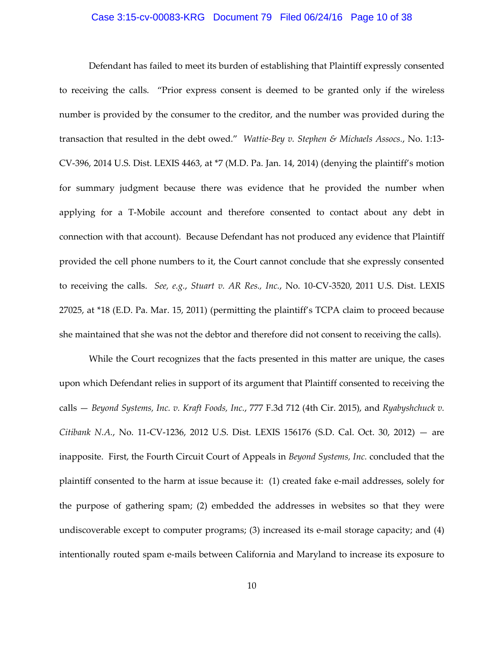## Case 3:15-cv-00083-KRG Document 79 Filed 06/24/16 Page 10 of 38

Defendant has failed to meet its burden of establishing that Plaintiff expressly consented to receiving the calls. "Prior express consent is deemed to be granted only if the wireless number is provided by the consumer to the creditor, and the number was provided during the transaction that resulted in the debt owed." *Wattie-Bey v. Stephen & Michaels Assocs.*, No. 1:13- CV-396, 2014 U.S. Dist. LEXIS 4463, at \*7 (M.D. Pa. Jan. 14, 2014) (denying the plaintiff's motion for summary judgment because there was evidence that he provided the number when applying for a T-Mobile account and therefore consented to contact about any debt in connection with that account). Because Defendant has not produced any evidence that Plaintiff provided the cell phone numbers to it, the Court cannot conclude that she expressly consented to receiving the calls. *See, e.g.*, *Stuart v. AR Res., Inc.*, No. 10-CV-3520, 2011 U.S. Dist. LEXIS 27025, at \*18 (E.D. Pa. Mar. 15, 2011) (permitting the plaintiff's TCPA claim to proceed because she maintained that she was not the debtor and therefore did not consent to receiving the calls).

While the Court recognizes that the facts presented in this matter are unique, the cases upon which Defendant relies in support of its argument that Plaintiff consented to receiving the calls — *Beyond Systems, Inc. v. Kraft Foods, Inc.*, 777 F.3d 712 (4th Cir. 2015), and *Ryabyshchuck v. Citibank N.A.*, No. 11-CV-1236, 2012 U.S. Dist. LEXIS 156176 (S.D. Cal. Oct. 30, 2012) — are inapposite. First, the Fourth Circuit Court of Appeals in *Beyond Systems, Inc.* concluded that the plaintiff consented to the harm at issue because it: (1) created fake e-mail addresses, solely for the purpose of gathering spam; (2) embedded the addresses in websites so that they were undiscoverable except to computer programs; (3) increased its e-mail storage capacity; and (4) intentionally routed spam e-mails between California and Maryland to increase its exposure to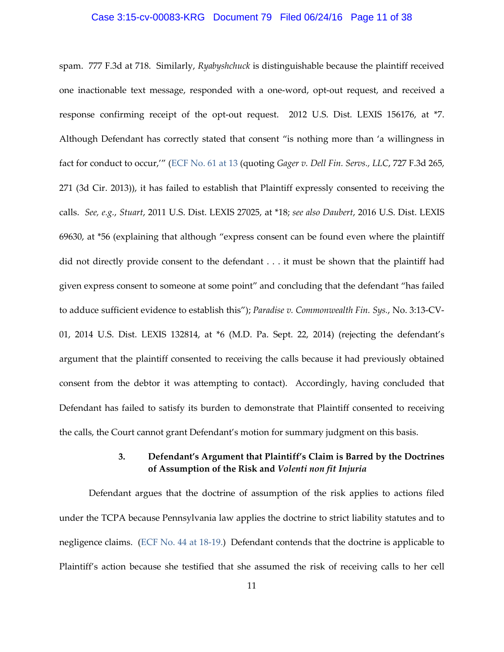## Case 3:15-cv-00083-KRG Document 79 Filed 06/24/16 Page 11 of 38

spam. 777 F.3d at 718. Similarly, *Ryabyshchuck* is distinguishable because the plaintiff received one inactionable text message, responded with a one-word, opt-out request, and received a response confirming receipt of the opt-out request. 2012 U.S. Dist. LEXIS 156176, at \*7. Although Defendant has correctly stated that consent "is nothing more than 'a willingness in fact for conduct to occur,'" [\(ECF No. 61 at 13](https://ecf.pawd.uscourts.gov/doc1/15715071634) (quoting *Gager v. Dell Fin. Servs., LLC*, 727 F.3d 265, 271 (3d Cir. 2013)), it has failed to establish that Plaintiff expressly consented to receiving the calls. *See, e.g.*, *Stuart*, 2011 U.S. Dist. LEXIS 27025, at \*18; *see also Daubert*, 2016 U.S. Dist. LEXIS 69630, at \*56 (explaining that although "express consent can be found even where the plaintiff did not directly provide consent to the defendant . . . it must be shown that the plaintiff had given express consent to someone at some point" and concluding that the defendant "has failed to adduce sufficient evidence to establish this"); *Paradise v. Commonwealth Fin. Sys.*, No. 3:13-CV-01, 2014 U.S. Dist. LEXIS 132814, at \*6 (M.D. Pa. Sept. 22, 2014) (rejecting the defendant's argument that the plaintiff consented to receiving the calls because it had previously obtained consent from the debtor it was attempting to contact). Accordingly, having concluded that Defendant has failed to satisfy its burden to demonstrate that Plaintiff consented to receiving the calls, the Court cannot grant Defendant's motion for summary judgment on this basis.

# **3. Defendant's Argument that Plaintiff's Claim is Barred by the Doctrines of Assumption of the Risk and** *Volenti non fit Injuria*

Defendant argues that the doctrine of assumption of the risk applies to actions filed under the TCPA because Pennsylvania law applies the doctrine to strict liability statutes and to negligence claims. [\(ECF No. 44 at 18-19.\)](https://ecf.pawd.uscourts.gov/doc1/15715012885) Defendant contends that the doctrine is applicable to Plaintiff's action because she testified that she assumed the risk of receiving calls to her cell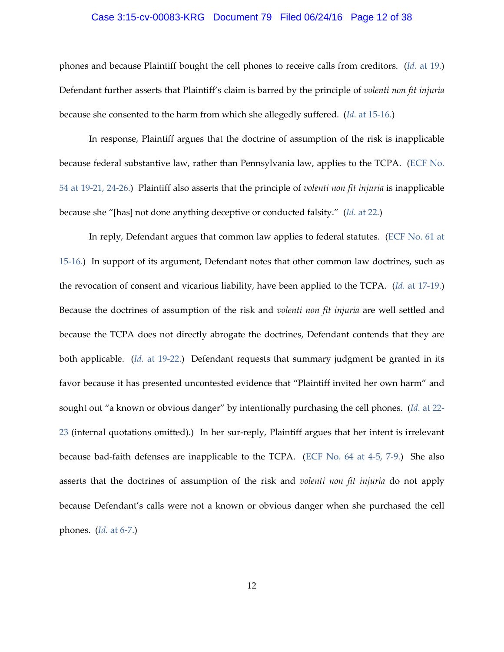## Case 3:15-cv-00083-KRG Document 79 Filed 06/24/16 Page 12 of 38

phones and because Plaintiff bought the cell phones to receive calls from creditors. (*Id.* [at 19.\)](https://ecf.pawd.uscourts.gov/doc1/15715012885) Defendant further asserts that Plaintiff's claim is barred by the principle of *volenti non fit injuria* because she consented to the harm from which she allegedly suffered. (*Id.* [at 15-16.\)](https://ecf.pawd.uscourts.gov/doc1/15715012885)

In response, Plaintiff argues that the doctrine of assumption of the risk is inapplicable because federal substantive law, rather than Pennsylvania law, applies to the TCPA. [\(ECF No.](https://ecf.pawd.uscourts.gov/doc1/15715053672)  [54 at 19-21, 24-26.\)](https://ecf.pawd.uscourts.gov/doc1/15715053672) Plaintiff also asserts that the principle of *volenti non fit injuria* is inapplicable because she "[has] not done anything deceptive or conducted falsity." (*Id.* [at 22.\)](https://ecf.pawd.uscourts.gov/doc1/15715053672)

In reply, Defendant argues that common law applies to federal statutes. [\(ECF No. 61 at](https://ecf.pawd.uscourts.gov/doc1/15715071634)  [15-16.\)](https://ecf.pawd.uscourts.gov/doc1/15715071634) In support of its argument, Defendant notes that other common law doctrines, such as the revocation of consent and vicarious liability, have been applied to the TCPA. (*Id.* [at 17-19.\)](https://ecf.pawd.uscourts.gov/doc1/15715071634) Because the doctrines of assumption of the risk and *volenti non fit injuria* are well settled and because the TCPA does not directly abrogate the doctrines, Defendant contends that they are both applicable. (*Id.* [at 19-22.\)](https://ecf.pawd.uscourts.gov/doc1/15715071634) Defendant requests that summary judgment be granted in its favor because it has presented uncontested evidence that "Plaintiff invited her own harm" and sought out "a known or obvious danger" by intentionally purchasing the cell phones. (*Id.* [at 22-](https://ecf.pawd.uscourts.gov/doc1/15715071634) [23](https://ecf.pawd.uscourts.gov/doc1/15715071634) (internal quotations omitted).) In her sur-reply, Plaintiff argues that her intent is irrelevant because bad-faith defenses are inapplicable to the TCPA. [\(ECF No. 64 at 4-5, 7-9.\)](https://ecf.pawd.uscourts.gov/doc1/15715081194) She also asserts that the doctrines of assumption of the risk and *volenti non fit injuria* do not apply because Defendant's calls were not a known or obvious danger when she purchased the cell phones. (*Id.* [at 6-7.\)](https://ecf.pawd.uscourts.gov/doc1/15715081194)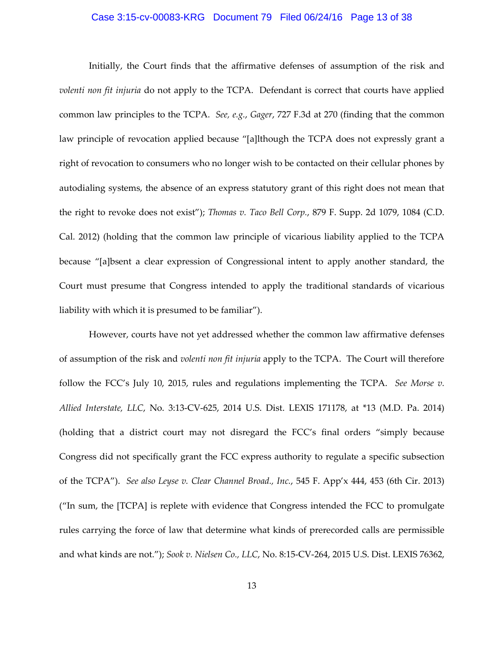#### Case 3:15-cv-00083-KRG Document 79 Filed 06/24/16 Page 13 of 38

Initially, the Court finds that the affirmative defenses of assumption of the risk and *volenti non fit injuria* do not apply to the TCPA. Defendant is correct that courts have applied common law principles to the TCPA. *See, e.g.*, *Gager*, 727 F.3d at 270 (finding that the common law principle of revocation applied because "[a]lthough the TCPA does not expressly grant a right of revocation to consumers who no longer wish to be contacted on their cellular phones by autodialing systems, the absence of an express statutory grant of this right does not mean that the right to revoke does not exist"); *Thomas v. Taco Bell Corp.*, 879 F. Supp. 2d 1079, 1084 (C.D. Cal. 2012) (holding that the common law principle of vicarious liability applied to the TCPA because "[a]bsent a clear expression of Congressional intent to apply another standard, the Court must presume that Congress intended to apply the traditional standards of vicarious liability with which it is presumed to be familiar").

However, courts have not yet addressed whether the common law affirmative defenses of assumption of the risk and *volenti non fit injuria* apply to the TCPA. The Court will therefore follow the FCC's July 10, 2015, rules and regulations implementing the TCPA. *See Morse v. Allied Interstate, LLC*, No. 3:13-CV-625, 2014 U.S. Dist. LEXIS 171178, at \*13 (M.D. Pa. 2014) (holding that a district court may not disregard the FCC's final orders "simply because Congress did not specifically grant the FCC express authority to regulate a specific subsection of the TCPA"). *See also Leyse v. Clear Channel Broad., Inc.*, 545 F. App'x 444, 453 (6th Cir. 2013) ("In sum, the [TCPA] is replete with evidence that Congress intended the FCC to promulgate rules carrying the force of law that determine what kinds of prerecorded calls are permissible and what kinds are not."); *Sook v. Nielsen Co., LLC*, No. 8:15-CV-264, 2015 U.S. Dist. LEXIS 76362,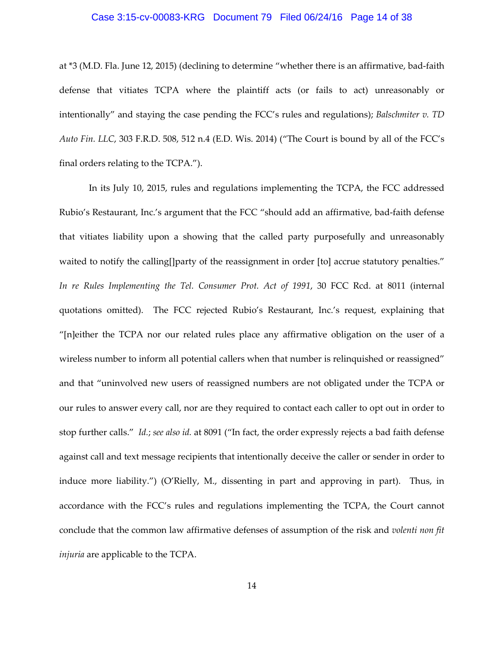## Case 3:15-cv-00083-KRG Document 79 Filed 06/24/16 Page 14 of 38

at \*3 (M.D. Fla. June 12, 2015) (declining to determine "whether there is an affirmative, bad-faith defense that vitiates TCPA where the plaintiff acts (or fails to act) unreasonably or intentionally" and staying the case pending the FCC's rules and regulations); *Balschmiter v. TD Auto Fin. LLC*, 303 F.R.D. 508, 512 n.4 (E.D. Wis. 2014) ("The Court is bound by all of the FCC's final orders relating to the TCPA.").

In its July 10, 2015, rules and regulations implementing the TCPA, the FCC addressed Rubio's Restaurant, Inc.'s argument that the FCC "should add an affirmative, bad-faith defense that vitiates liability upon a showing that the called party purposefully and unreasonably waited to notify the calling[]party of the reassignment in order [to] accrue statutory penalties." *In re Rules Implementing the Tel. Consumer Prot. Act of 1991*, 30 FCC Rcd. at 8011 (internal quotations omitted). The FCC rejected Rubio's Restaurant, Inc.'s request, explaining that "[n]either the TCPA nor our related rules place any affirmative obligation on the user of a wireless number to inform all potential callers when that number is relinquished or reassigned" and that "uninvolved new users of reassigned numbers are not obligated under the TCPA or our rules to answer every call, nor are they required to contact each caller to opt out in order to stop further calls." *Id.*; *see also id.* at 8091 ("In fact, the order expressly rejects a bad faith defense against call and text message recipients that intentionally deceive the caller or sender in order to induce more liability.") (O'Rielly, M., dissenting in part and approving in part). Thus, in accordance with the FCC's rules and regulations implementing the TCPA, the Court cannot conclude that the common law affirmative defenses of assumption of the risk and *volenti non fit injuria* are applicable to the TCPA.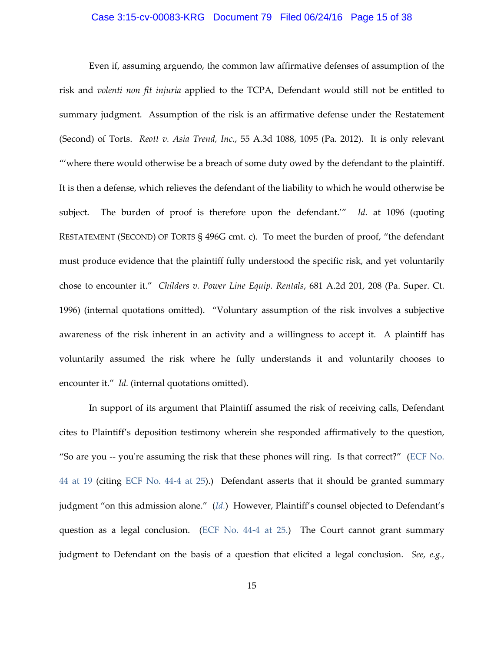#### Case 3:15-cv-00083-KRG Document 79 Filed 06/24/16 Page 15 of 38

Even if, assuming arguendo, the common law affirmative defenses of assumption of the risk and *volenti non fit injuria* applied to the TCPA, Defendant would still not be entitled to summary judgment. Assumption of the risk is an affirmative defense under the Restatement (Second) of Torts. *Reott v. Asia Trend, Inc.*, 55 A.3d 1088, 1095 (Pa. 2012). It is only relevant "'where there would otherwise be a breach of some duty owed by the defendant to the plaintiff. It is then a defense, which relieves the defendant of the liability to which he would otherwise be subject. The burden of proof is therefore upon the defendant.'" *Id.* at 1096 (quoting RESTATEMENT (SECOND) OF TORTS § 496G cmt. c). To meet the burden of proof, "the defendant must produce evidence that the plaintiff fully understood the specific risk, and yet voluntarily chose to encounter it." *Childers v. Power Line Equip. Rentals*, 681 A.2d 201, 208 (Pa. Super. Ct. 1996) (internal quotations omitted). "Voluntary assumption of the risk involves a subjective awareness of the risk inherent in an activity and a willingness to accept it. A plaintiff has voluntarily assumed the risk where he fully understands it and voluntarily chooses to encounter it." *Id.* (internal quotations omitted).

In support of its argument that Plaintiff assumed the risk of receiving calls, Defendant cites to Plaintiff's deposition testimony wherein she responded affirmatively to the question, "So are you -- you're assuming the risk that these phones will ring. Is that correct?" [\(ECF No.](https://ecf.pawd.uscourts.gov/doc1/15715012885)  [44 at 19](https://ecf.pawd.uscourts.gov/doc1/15715012885) (citing ECF [No. 44-4 at 25\)](https://ecf.pawd.uscourts.gov/doc1/15715012889).) Defendant asserts that it should be granted summary judgment "on this admission alone." (*[Id.](https://ecf.pawd.uscourts.gov/doc1/15715012885)*) However, Plaintiff's counsel objected to Defendant's question as a legal conclusion. [\(ECF No. 44-4 at 25.\)](https://ecf.pawd.uscourts.gov/doc1/15715012889) The Court cannot grant summary judgment to Defendant on the basis of a question that elicited a legal conclusion. *See, e.g.*,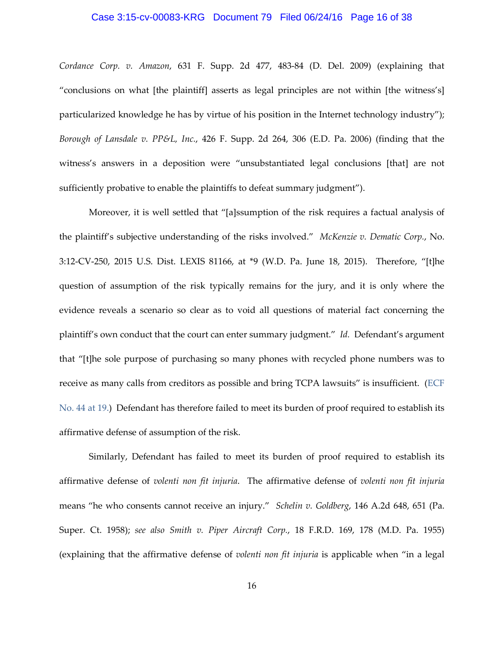## Case 3:15-cv-00083-KRG Document 79 Filed 06/24/16 Page 16 of 38

*Cordance Corp. v. Amazon*, 631 F. Supp. 2d 477, 483-84 (D. Del. 2009) (explaining that "conclusions on what [the plaintiff] asserts as legal principles are not within [the witness's] particularized knowledge he has by virtue of his position in the Internet technology industry"); *Borough of Lansdale v. PP&L, Inc.*, 426 F. Supp. 2d 264, 306 (E.D. Pa. 2006) (finding that the witness's answers in a deposition were "unsubstantiated legal conclusions [that] are not sufficiently probative to enable the plaintiffs to defeat summary judgment").

Moreover, it is well settled that "[a]ssumption of the risk requires a factual analysis of the plaintiff's subjective understanding of the risks involved." *McKenzie v. Dematic Corp.*, No. 3:12-CV-250, 2015 U.S. Dist. LEXIS 81166, at \*9 (W.D. Pa. June 18, 2015). Therefore, "[t]he question of assumption of the risk typically remains for the jury, and it is only where the evidence reveals a scenario so clear as to void all questions of material fact concerning the plaintiff's own conduct that the court can enter summary judgment." *Id.* Defendant's argument that "[t]he sole purpose of purchasing so many phones with recycled phone numbers was to receive as many calls from creditors as possible and bring TCPA lawsuits" is insufficient. [\(ECF](https://ecf.pawd.uscourts.gov/doc1/15715012885)  [No. 44 at 19.\)](https://ecf.pawd.uscourts.gov/doc1/15715012885) Defendant has therefore failed to meet its burden of proof required to establish its affirmative defense of assumption of the risk.

Similarly, Defendant has failed to meet its burden of proof required to establish its affirmative defense of *volenti non fit injuria*. The affirmative defense of *volenti non fit injuria* means "he who consents cannot receive an injury." *Schelin v. Goldberg*, 146 A.2d 648, 651 (Pa. Super. Ct. 1958); *see also Smith v. Piper Aircraft Corp.*, 18 F.R.D. 169, 178 (M.D. Pa. 1955) (explaining that the affirmative defense of *volenti non fit injuria* is applicable when "in a legal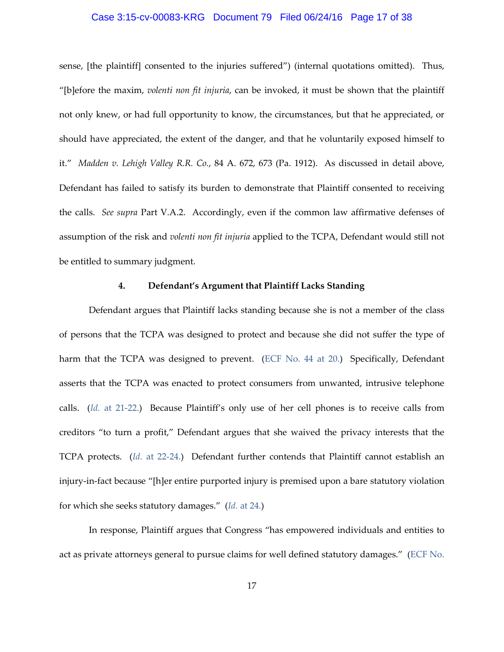#### Case 3:15-cv-00083-KRG Document 79 Filed 06/24/16 Page 17 of 38

sense, [the plaintiff] consented to the injuries suffered") (internal quotations omitted). Thus, "[b]efore the maxim, *volenti non fit injuria*, can be invoked, it must be shown that the plaintiff not only knew, or had full opportunity to know, the circumstances, but that he appreciated, or should have appreciated, the extent of the danger, and that he voluntarily exposed himself to it." *Madden v. Lehigh Valley R.R. Co.*, 84 A. 672, 673 (Pa. 1912). As discussed in detail above, Defendant has failed to satisfy its burden to demonstrate that Plaintiff consented to receiving the calls. *See supra* Part V.A.2. Accordingly, even if the common law affirmative defenses of assumption of the risk and *volenti non fit injuria* applied to the TCPA, Defendant would still not be entitled to summary judgment.

## **4. Defendant's Argument that Plaintiff Lacks Standing**

Defendant argues that Plaintiff lacks standing because she is not a member of the class of persons that the TCPA was designed to protect and because she did not suffer the type of harm that the TCPA was designed to prevent. [\(ECF No.](https://ecf.pawd.uscourts.gov/doc1/15715012885) 44 at 20.) Specifically, Defendant asserts that the TCPA was enacted to protect consumers from unwanted, intrusive telephone calls. (*Id.* [at 21-22.\)](https://ecf.pawd.uscourts.gov/doc1/15715012885) Because Plaintiff's only use of her cell phones is to receive calls from creditors "to turn a profit," Defendant argues that she waived the privacy interests that the TCPA protects. (*Id.* [at 22-24.\)](https://ecf.pawd.uscourts.gov/doc1/15715012885) Defendant further contends that Plaintiff cannot establish an injury-in-fact because "[h]er entire purported injury is premised upon a bare statutory violation for which she seeks statutory damages." (*Id.* [at 24.\)](https://ecf.pawd.uscourts.gov/doc1/15715012885)

In response, Plaintiff argues that Congress "has empowered individuals and entities to act as private attorneys general to pursue claims for well defined statutory damages." [\(ECF No.](https://ecf.pawd.uscourts.gov/doc1/15715053672)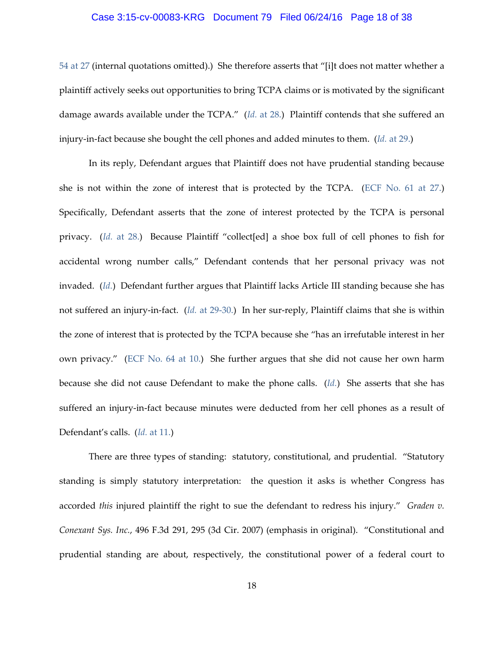## Case 3:15-cv-00083-KRG Document 79 Filed 06/24/16 Page 18 of 38

[54 at 27](https://ecf.pawd.uscourts.gov/doc1/15715053672) (internal quotations omitted).) She therefore asserts that "[i]t does not matter whether a plaintiff actively seeks out opportunities to bring TCPA claims or is motivated by the significant damage awards available under the TCPA." (*Id.* [at 28.\)](https://ecf.pawd.uscourts.gov/doc1/15715053672) Plaintiff contends that she suffered an injury-in-fact because she bought the cell phones and added minutes to them. (*Id.* [at 29.\)](https://ecf.pawd.uscourts.gov/doc1/15715053672)

In its reply, Defendant argues that Plaintiff does not have prudential standing because she is not within the zone of interest that is protected by the TCPA. [\(ECF No. 61 at 27.\)](https://ecf.pawd.uscourts.gov/doc1/15715071634) Specifically, Defendant asserts that the zone of interest protected by the TCPA is personal privacy. (*Id.* [at 28.\)](https://ecf.pawd.uscourts.gov/doc1/15715071634) Because Plaintiff "collect[ed] a shoe box full of cell phones to fish for accidental wrong number calls," Defendant contends that her personal privacy was not invaded. (*[Id.](https://ecf.pawd.uscourts.gov/doc1/15715071634)*) Defendant further argues that Plaintiff lacks Article III standing because she has not suffered an injury-in-fact. (*Id.* [at 29-30.\)](https://ecf.pawd.uscourts.gov/doc1/15715071634) In her sur-reply, Plaintiff claims that she is within the zone of interest that is protected by the TCPA because she "has an irrefutable interest in her own privacy." [\(ECF No. 64 at 10.\)](https://ecf.pawd.uscourts.gov/doc1/15715081194) She further argues that she did not cause her own harm because she did not cause Defendant to make the phone calls. (*[Id.](https://ecf.pawd.uscourts.gov/doc1/15715081194)*) She asserts that she has suffered an injury-in-fact because minutes were deducted from her cell phones as a result of Defendant's calls. (*Id.* [at 11.\)](https://ecf.pawd.uscourts.gov/doc1/15715081194)

There are three types of standing: statutory, constitutional, and prudential. "Statutory standing is simply statutory interpretation: the question it asks is whether Congress has accorded *this* injured plaintiff the right to sue the defendant to redress his injury." *Graden v. Conexant Sys. Inc.*, 496 F.3d 291, 295 (3d Cir. 2007) (emphasis in original). "Constitutional and prudential standing are about, respectively, the constitutional power of a federal court to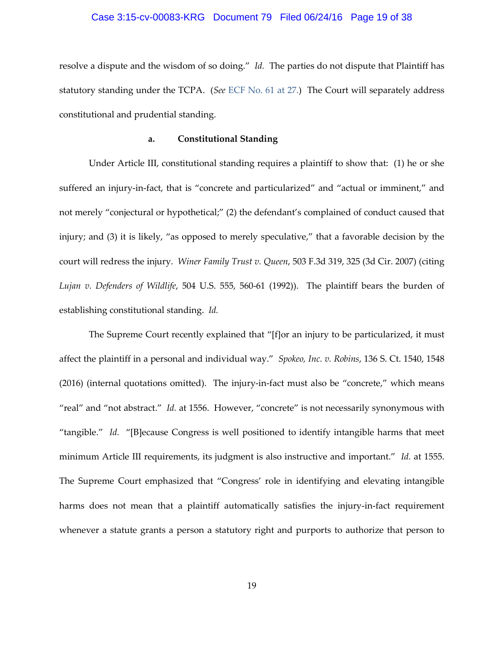## Case 3:15-cv-00083-KRG Document 79 Filed 06/24/16 Page 19 of 38

resolve a dispute and the wisdom of so doing." *Id.* The parties do not dispute that Plaintiff has statutory standing under the TCPA. (*See* [ECF No. 61 at 27.\)](https://ecf.pawd.uscourts.gov/doc1/15715071634) The Court will separately address constitutional and prudential standing.

#### **a. Constitutional Standing**

Under Article III, constitutional standing requires a plaintiff to show that: (1) he or she suffered an injury-in-fact, that is "concrete and particularized" and "actual or imminent," and not merely "conjectural or hypothetical;" (2) the defendant's complained of conduct caused that injury; and (3) it is likely, "as opposed to merely speculative," that a favorable decision by the court will redress the injury. *Winer Family Trust v. Queen*, 503 F.3d 319, 325 (3d Cir. 2007) (citing *Lujan v. Defenders of Wildlife*, 504 U.S. 555, 560-61 (1992)). The plaintiff bears the burden of establishing constitutional standing. *Id.*

The Supreme Court recently explained that "[f]or an injury to be particularized, it must affect the plaintiff in a personal and individual way." *Spokeo, Inc. v. Robins*, 136 S. Ct. 1540, 1548 (2016) (internal quotations omitted). The injury-in-fact must also be "concrete," which means "real" and "not abstract." *Id.* at 1556. However, "concrete" is not necessarily synonymous with "tangible." *Id.* "[B]ecause Congress is well positioned to identify intangible harms that meet minimum Article III requirements, its judgment is also instructive and important." *Id.* at 1555. The Supreme Court emphasized that "Congress' role in identifying and elevating intangible harms does not mean that a plaintiff automatically satisfies the injury-in-fact requirement whenever a statute grants a person a statutory right and purports to authorize that person to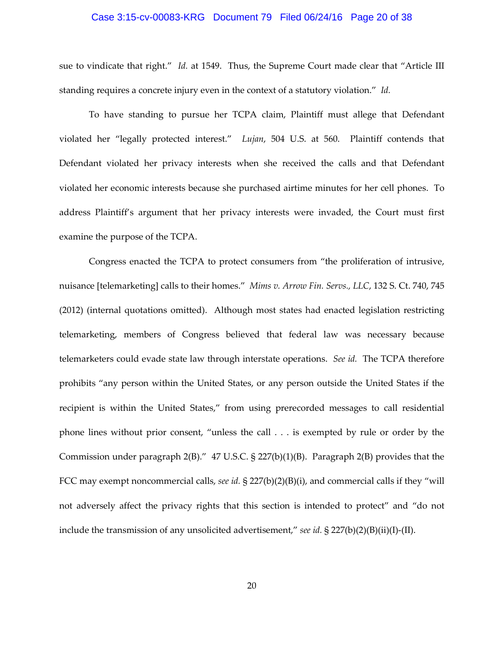## Case 3:15-cv-00083-KRG Document 79 Filed 06/24/16 Page 20 of 38

sue to vindicate that right." *Id.* at 1549. Thus, the Supreme Court made clear that "Article III standing requires a concrete injury even in the context of a statutory violation." *Id.*

To have standing to pursue her TCPA claim, Plaintiff must allege that Defendant violated her "legally protected interest." *Lujan*, 504 U.S. at 560. Plaintiff contends that Defendant violated her privacy interests when she received the calls and that Defendant violated her economic interests because she purchased airtime minutes for her cell phones. To address Plaintiff's argument that her privacy interests were invaded, the Court must first examine the purpose of the TCPA.

Congress enacted the TCPA to protect consumers from "the proliferation of intrusive, nuisance [telemarketing] calls to their homes." *Mims v. Arrow Fin. Servs., LLC*, 132 S. Ct. 740, 745 (2012) (internal quotations omitted). Although most states had enacted legislation restricting telemarketing, members of Congress believed that federal law was necessary because telemarketers could evade state law through interstate operations. *See id.* The TCPA therefore prohibits "any person within the United States, or any person outside the United States if the recipient is within the United States," from using prerecorded messages to call residential phone lines without prior consent, "unless the call . . . is exempted by rule or order by the Commission under paragraph 2(B)." 47 U.S.C. § 227(b)(1)(B). Paragraph 2(B) provides that the FCC may exempt noncommercial calls, *see id.* § 227(b)(2)(B)(i), and commercial calls if they "will not adversely affect the privacy rights that this section is intended to protect" and "do not include the transmission of any unsolicited advertisement," *see id.* § 227(b)(2)(B)(ii)(I)-(II).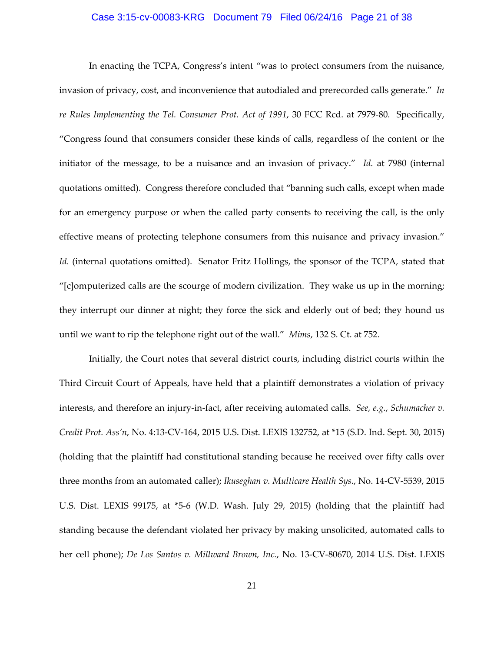#### Case 3:15-cv-00083-KRG Document 79 Filed 06/24/16 Page 21 of 38

In enacting the TCPA, Congress's intent "was to protect consumers from the nuisance, invasion of privacy, cost, and inconvenience that autodialed and prerecorded calls generate." *In re Rules Implementing the Tel. Consumer Prot. Act of 1991*, 30 FCC Rcd. at 7979-80. Specifically, "Congress found that consumers consider these kinds of calls, regardless of the content or the initiator of the message, to be a nuisance and an invasion of privacy." *Id.* at 7980 (internal quotations omitted). Congress therefore concluded that "banning such calls, except when made for an emergency purpose or when the called party consents to receiving the call, is the only effective means of protecting telephone consumers from this nuisance and privacy invasion." Id. (internal quotations omitted). Senator Fritz Hollings, the sponsor of the TCPA, stated that "[c]omputerized calls are the scourge of modern civilization. They wake us up in the morning; they interrupt our dinner at night; they force the sick and elderly out of bed; they hound us until we want to rip the telephone right out of the wall." *Mims*, 132 S. Ct. at 752.

Initially, the Court notes that several district courts, including district courts within the Third Circuit Court of Appeals, have held that a plaintiff demonstrates a violation of privacy interests, and therefore an injury-in-fact, after receiving automated calls. *See, e.g.*, *Schumacher v. Credit Prot. Ass'n*, No. 4:13-CV-164, 2015 U.S. Dist. LEXIS 132752, at \*15 (S.D. Ind. Sept. 30, 2015) (holding that the plaintiff had constitutional standing because he received over fifty calls over three months from an automated caller); *Ikuseghan v. Multicare Health Sys.*, No. 14-CV-5539, 2015 U.S. Dist. LEXIS 99175, at \*5-6 (W.D. Wash. July 29, 2015) (holding that the plaintiff had standing because the defendant violated her privacy by making unsolicited, automated calls to her cell phone); *De Los Santos v. Millward Brown, Inc.*, No. 13-CV-80670, 2014 U.S. Dist. LEXIS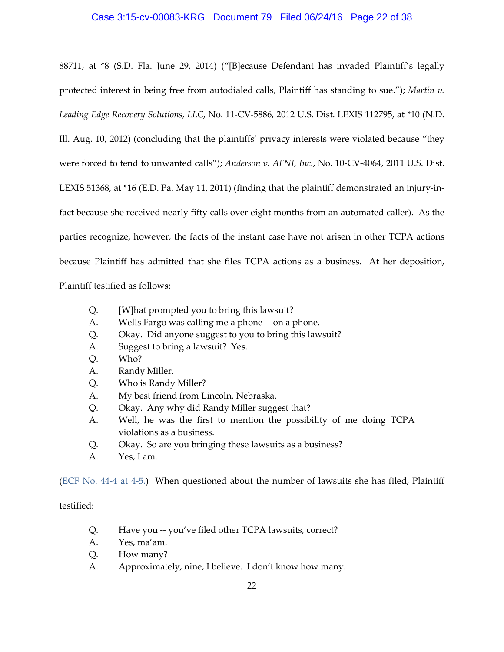## Case 3:15-cv-00083-KRG Document 79 Filed 06/24/16 Page 22 of 38

88711, at \*8 (S.D. Fla. June 29, 2014) ("[B]ecause Defendant has invaded Plaintiff's legally protected interest in being free from autodialed calls, Plaintiff has standing to sue."); *Martin v. Leading Edge Recovery Solutions, LLC*, No. 11-CV-5886, 2012 U.S. Dist. LEXIS 112795, at \*10 (N.D. Ill. Aug. 10, 2012) (concluding that the plaintiffs' privacy interests were violated because "they were forced to tend to unwanted calls"); *Anderson v. AFNI, Inc.*, No. 10-CV-4064, 2011 U.S. Dist. LEXIS 51368, at \*16 (E.D. Pa. May 11, 2011) (finding that the plaintiff demonstrated an injury-infact because she received nearly fifty calls over eight months from an automated caller). As the parties recognize, however, the facts of the instant case have not arisen in other TCPA actions because Plaintiff has admitted that she files TCPA actions as a business. At her deposition,

Plaintiff testified as follows:

- Q. [W]hat prompted you to bring this lawsuit?
- A. Wells Fargo was calling me a phone -- on a phone.
- Q. Okay. Did anyone suggest to you to bring this lawsuit?
- A. Suggest to bring a lawsuit? Yes.
- Q. Who?
- A. Randy Miller.
- Q. Who is Randy Miller?
- A. My best friend from Lincoln, Nebraska.
- Q. Okay. Any why did Randy Miller suggest that?
- A. Well, he was the first to mention the possibility of me doing TCPA violations as a business.
- Q. Okay. So are you bringing these lawsuits as a business?
- A. Yes, I am.

[\(ECF No. 44-4 at 4-5.\)](https://ecf.pawd.uscourts.gov/doc1/15715012889) When questioned about the number of lawsuits she has filed, Plaintiff

#### testified:

- Q. Have you -- you've filed other TCPA lawsuits, correct?
- A. Yes, ma'am.
- Q. How many?
- A. Approximately, nine, I believe. I don't know how many.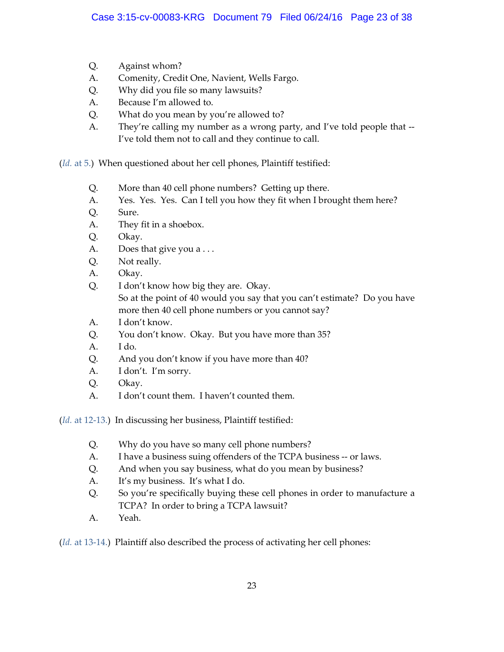- Q. Against whom?
- A. Comenity, Credit One, Navient, Wells Fargo.
- Q. Why did you file so many lawsuits?
- A. Because I'm allowed to.
- Q. What do you mean by you're allowed to?
- A. They're calling my number as a wrong party, and I've told people that -- I've told them not to call and they continue to call.

(*Id.* [at 5.\)](https://ecf.pawd.uscourts.gov/doc1/15715012889) When questioned about her cell phones, Plaintiff testified:

- Q. More than 40 cell phone numbers? Getting up there.
- A. Yes. Yes. Yes. Can I tell you how they fit when I brought them here?
- Q. Sure.
- A. They fit in a shoebox.
- Q. Okay.
- A. Does that give you a ...
- Q. Not really.
- A. Okay.
- Q. I don't know how big they are. Okay. So at the point of 40 would you say that you can't estimate? Do you have more then 40 cell phone numbers or you cannot say?
- A. I don't know.
- Q. You don't know. Okay. But you have more than 35?
- A. I do.
- Q. And you don't know if you have more than 40?
- A. I don't. I'm sorry.
- Q. Okay.
- A. I don't count them. I haven't counted them.

(*Id.* [at 12-13.\)](https://ecf.pawd.uscourts.gov/doc1/15715012889) In discussing her business, Plaintiff testified:

- Q. Why do you have so many cell phone numbers?
- A. I have a business suing offenders of the TCPA business -- or laws.
- Q. And when you say business, what do you mean by business?
- A. It's my business. It's what I do.
- Q. So you're specifically buying these cell phones in order to manufacture a TCPA? In order to bring a TCPA lawsuit?
- A. Yeah.

(*Id.* [at 13-14.\)](https://ecf.pawd.uscourts.gov/doc1/15715012889) Plaintiff also described the process of activating her cell phones: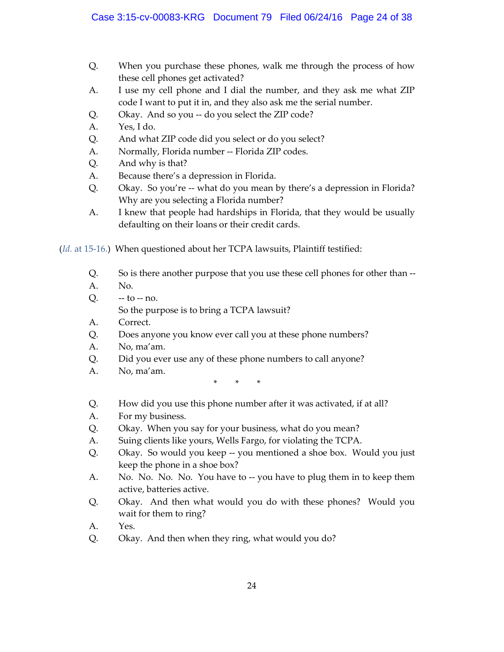- Q. When you purchase these phones, walk me through the process of how these cell phones get activated?
- A. I use my cell phone and I dial the number, and they ask me what ZIP code I want to put it in, and they also ask me the serial number.
- Q. Okay. And so you -- do you select the ZIP code?
- A. Yes, I do.
- Q. And what ZIP code did you select or do you select?
- A. Normally, Florida number -- Florida ZIP codes.
- Q. And why is that?
- A. Because there's a depression in Florida.
- Q. Okay. So you're -- what do you mean by there's a depression in Florida? Why are you selecting a Florida number?
- A. I knew that people had hardships in Florida, that they would be usually defaulting on their loans or their credit cards.

(*Id.* [at 15-16.\)](https://ecf.pawd.uscourts.gov/doc1/15715012889) When questioned about her TCPA lawsuits, Plaintiff testified:

- Q. So is there another purpose that you use these cell phones for other than --
- A. No.
- $Q. to no.$

So the purpose is to bring a TCPA lawsuit?

- A. Correct.
- Q. Does anyone you know ever call you at these phone numbers?
- A. No, ma'am.
- Q. Did you ever use any of these phone numbers to call anyone?
- A. No, ma'am.

\* \* \*

- Q. How did you use this phone number after it was activated, if at all?
- A. For my business.
- Q. Okay. When you say for your business, what do you mean?
- A. Suing clients like yours, Wells Fargo, for violating the TCPA.
- Q. Okay. So would you keep -- you mentioned a shoe box. Would you just keep the phone in a shoe box?
- A. No. No. No. No. You have to -- you have to plug them in to keep them active, batteries active.
- Q. Okay. And then what would you do with these phones? Would you wait for them to ring?
- A. Yes.
- Q. Okay. And then when they ring, what would you do?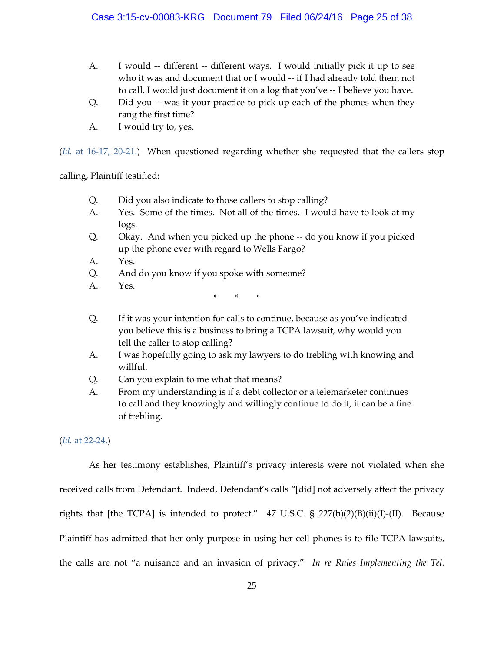- A. I would -- different -- different ways. I would initially pick it up to see who it was and document that or I would -- if I had already told them not to call, I would just document it on a log that you've -- I believe you have.
- Q. Did you -- was it your practice to pick up each of the phones when they rang the first time?
- A. I would try to, yes.

(*Id.* [at 16-17, 20-21.\)](https://ecf.pawd.uscourts.gov/doc1/15715012889) When questioned regarding whether she requested that the callers stop

calling, Plaintiff testified:

- Q. Did you also indicate to those callers to stop calling?
- A. Yes. Some of the times. Not all of the times. I would have to look at my logs.
- Q. Okay. And when you picked up the phone -- do you know if you picked up the phone ever with regard to Wells Fargo?
- A. Yes.
- Q. And do you know if you spoke with someone?
- A. Yes.

- \* \* \*
- Q. If it was your intention for calls to continue, because as you've indicated you believe this is a business to bring a TCPA lawsuit, why would you tell the caller to stop calling?
- A. I was hopefully going to ask my lawyers to do trebling with knowing and willful.
- Q. Can you explain to me what that means?
- A. From my understanding is if a debt collector or a telemarketer continues to call and they knowingly and willingly continue to do it, it can be a fine of trebling.

# (*Id.* [at 22-24.\)](https://ecf.pawd.uscourts.gov/doc1/15715012889)

As her testimony establishes, Plaintiff's privacy interests were not violated when she received calls from Defendant. Indeed, Defendant's calls "[did] not adversely affect the privacy rights that [the TCPA] is intended to protect." 47 U.S.C. § 227(b)(2)(B)(ii)(I)-(II). Because Plaintiff has admitted that her only purpose in using her cell phones is to file TCPA lawsuits, the calls are not "a nuisance and an invasion of privacy." *In re Rules Implementing the Tel.*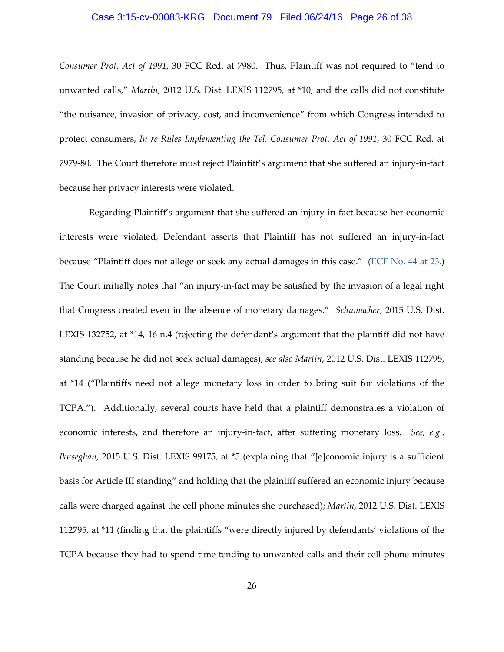## Case 3:15-cv-00083-KRG Document 79 Filed 06/24/16 Page 26 of 38

*Consumer Prot. Act of 1991*, 30 FCC Rcd. at 7980. Thus, Plaintiff was not required to "tend to unwanted calls," *Martin*, 2012 U.S. Dist. LEXIS 112795, at \*10, and the calls did not constitute "the nuisance, invasion of privacy, cost, and inconvenience" from which Congress intended to protect consumers, *In re Rules Implementing the Tel. Consumer Prot. Act of 1991*, 30 FCC Rcd. at 7979-80. The Court therefore must reject Plaintiff's argument that she suffered an injury-in-fact because her privacy interests were violated.

Regarding Plaintiff's argument that she suffered an injury-in-fact because her economic interests were violated, Defendant asserts that Plaintiff has not suffered an injury-in-fact because "Plaintiff does not allege or seek any actual damages in this case." [\(ECF No. 44 at 23.\)](https://ecf.pawd.uscourts.gov/doc1/15715012885) The Court initially notes that "an injury-in-fact may be satisfied by the invasion of a legal right that Congress created even in the absence of monetary damages." *Schumacher*, 2015 U.S. Dist. LEXIS 132752, at \*14, 16 n.4 (rejecting the defendant's argument that the plaintiff did not have standing because he did not seek actual damages); *see also Martin*, 2012 U.S. Dist. LEXIS 112795, at \*14 ("Plaintiffs need not allege monetary loss in order to bring suit for violations of the TCPA."). Additionally, several courts have held that a plaintiff demonstrates a violation of economic interests, and therefore an injury-in-fact, after suffering monetary loss. *See, e.g.*, *Ikuseghan*, 2015 U.S. Dist. LEXIS 99175, at \*5 (explaining that "[e]conomic injury is a sufficient basis for Article III standing" and holding that the plaintiff suffered an economic injury because calls were charged against the cell phone minutes she purchased); *Martin*, 2012 U.S. Dist. LEXIS 112795, at \*11 (finding that the plaintiffs "were directly injured by defendants' violations of the TCPA because they had to spend time tending to unwanted calls and their cell phone minutes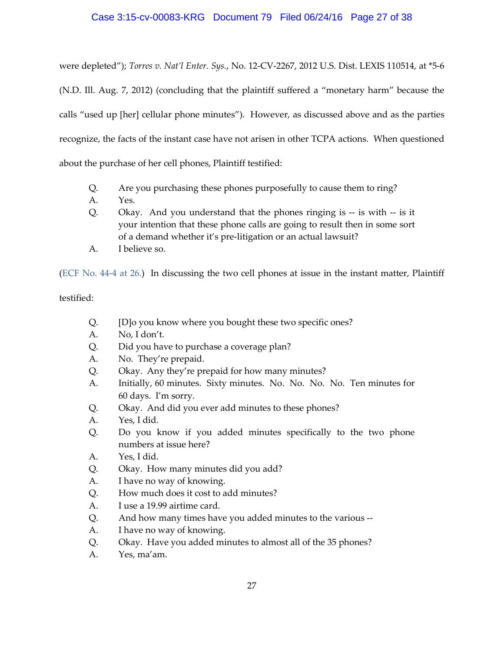# Case 3:15-cv-00083-KRG Document 79 Filed 06/24/16 Page 27 of 38

were depleted"); *Torres v. Nat'l Enter. Sys.*, No. 12-CV-2267, 2012 U.S. Dist. LEXIS 110514, at \*5-6 (N.D. Ill. Aug. 7, 2012) (concluding that the plaintiff suffered a "monetary harm" because the calls "used up [her] cellular phone minutes"). However, as discussed above and as the parties recognize, the facts of the instant case have not arisen in other TCPA actions. When questioned about the purchase of her cell phones, Plaintiff testified:

- Q. Are you purchasing these phones purposefully to cause them to ring?
- A. Yes.
- Q. Okay. And you understand that the phones ringing is -- is with -- is it your intention that these phone calls are going to result then in some sort of a demand whether it's pre-litigation or an actual lawsuit?
- A. I believe so.

[\(ECF No. 44-4 at 26.\)](https://ecf.pawd.uscourts.gov/doc1/15715012889) In discussing the two cell phones at issue in the instant matter, Plaintiff

# testified:

- Q. [D]o you know where you bought these two specific ones?
- A. No, I don't.
- Q. Did you have to purchase a coverage plan?
- A. No. They're prepaid.
- Q. Okay. Any they're prepaid for how many minutes?
- A. Initially, 60 minutes. Sixty minutes. No. No. No. No. Ten minutes for 60 days. I'm sorry.
- Q. Okay. And did you ever add minutes to these phones?
- A. Yes, I did.
- Q. Do you know if you added minutes specifically to the two phone numbers at issue here?
- A. Yes, I did.
- Q. Okay. How many minutes did you add?
- A. I have no way of knowing.
- Q. How much does it cost to add minutes?
- A. I use a 19.99 airtime card.
- Q. And how many times have you added minutes to the various --
- A. I have no way of knowing.
- Q. Okay. Have you added minutes to almost all of the 35 phones?
- A. Yes, ma'am.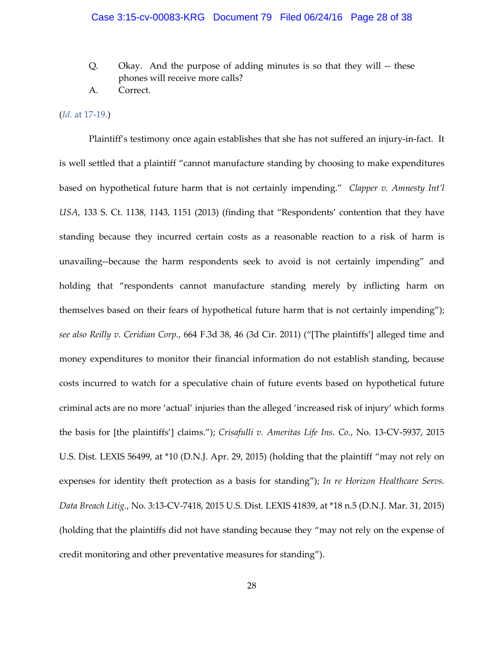- Q. Okay. And the purpose of adding minutes is so that they will -- these phones will receive more calls?
- A. Correct.

## (*Id.* [at 17-19.\)](https://ecf.pawd.uscourts.gov/doc1/15715012889)

Plaintiff's testimony once again establishes that she has not suffered an injury-in-fact. It is well settled that a plaintiff "cannot manufacture standing by choosing to make expenditures based on hypothetical future harm that is not certainly impending." *Clapper v. Amnesty Int'l USA*, 133 S. Ct. 1138, 1143, 1151 (2013) (finding that "Respondents' contention that they have standing because they incurred certain costs as a reasonable reaction to a risk of harm is unavailing--because the harm respondents seek to avoid is not certainly impending" and holding that "respondents cannot manufacture standing merely by inflicting harm on themselves based on their fears of hypothetical future harm that is not certainly impending"); *see also Reilly v. Ceridian Corp.*, 664 F.3d 38, 46 (3d Cir. 2011) ("[The plaintiffs'] alleged time and money expenditures to monitor their financial information do not establish standing, because costs incurred to watch for a speculative chain of future events based on hypothetical future criminal acts are no more 'actual' injuries than the alleged 'increased risk of injury' which forms the basis for [the plaintiffs'] claims."); *Crisafulli v. Ameritas Life Ins. Co.*, No. 13-CV-5937, 2015 U.S. Dist. LEXIS 56499, at \*10 (D.N.J. Apr. 29, 2015) (holding that the plaintiff "may not rely on expenses for identity theft protection as a basis for standing"); *In re Horizon Healthcare Servs. Data Breach Litig.*, No. 3:13-CV-7418, 2015 U.S. Dist. LEXIS 41839, at \*18 n.5 (D.N.J. Mar. 31, 2015) (holding that the plaintiffs did not have standing because they "may not rely on the expense of credit monitoring and other preventative measures for standing").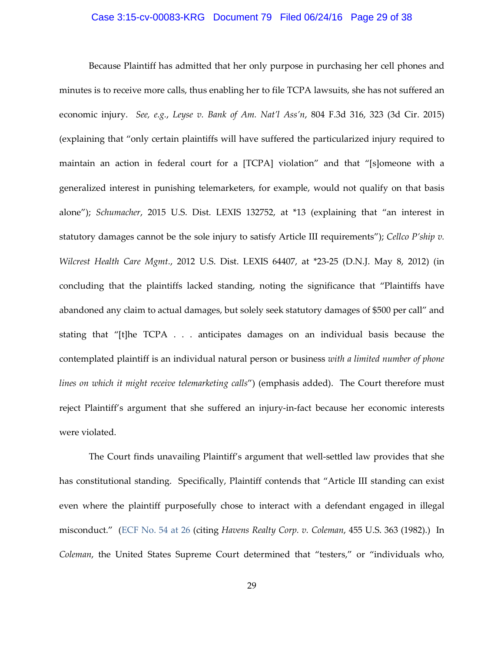## Case 3:15-cv-00083-KRG Document 79 Filed 06/24/16 Page 29 of 38

Because Plaintiff has admitted that her only purpose in purchasing her cell phones and minutes is to receive more calls, thus enabling her to file TCPA lawsuits, she has not suffered an economic injury. *See, e.g.*, *Leyse v. Bank of Am. Nat'l Ass'n*, 804 F.3d 316, 323 (3d Cir. 2015) (explaining that "only certain plaintiffs will have suffered the particularized injury required to maintain an action in federal court for a [TCPA] violation" and that "[s]omeone with a generalized interest in punishing telemarketers, for example, would not qualify on that basis alone"); *Schumacher*, 2015 U.S. Dist. LEXIS 132752, at \*13 (explaining that "an interest in statutory damages cannot be the sole injury to satisfy Article III requirements"); *Cellco P'ship v. Wilcrest Health Care Mgmt.*, 2012 U.S. Dist. LEXIS 64407, at \*23-25 (D.N.J. May 8, 2012) (in concluding that the plaintiffs lacked standing, noting the significance that "Plaintiffs have abandoned any claim to actual damages, but solely seek statutory damages of \$500 per call" and stating that "[t]he TCPA . . . anticipates damages on an individual basis because the contemplated plaintiff is an individual natural person or business *with a limited number of phone lines on which it might receive telemarketing calls*") (emphasis added). The Court therefore must reject Plaintiff's argument that she suffered an injury-in-fact because her economic interests were violated.

The Court finds unavailing Plaintiff's argument that well-settled law provides that she has constitutional standing. Specifically, Plaintiff contends that "Article III standing can exist even where the plaintiff purposefully chose to interact with a defendant engaged in illegal misconduct." [\(ECF No. 54 at 26](https://ecf.pawd.uscourts.gov/doc1/15715053672) (citing *Havens Realty Corp. v. Coleman*, 455 U.S. 363 (1982).) In *Coleman*, the United States Supreme Court determined that "testers," or "individuals who,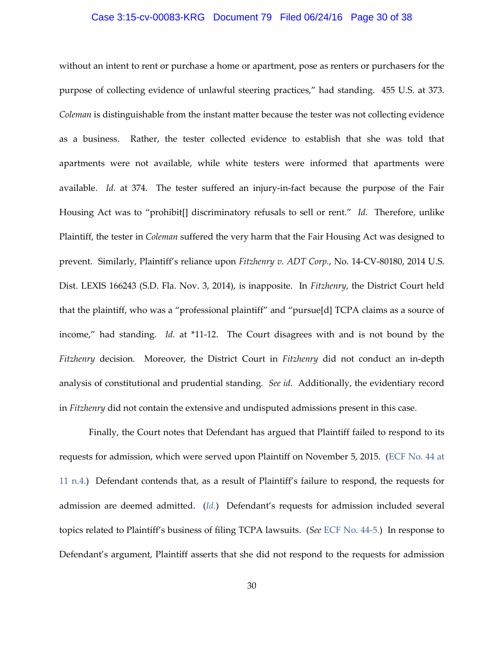## Case 3:15-cv-00083-KRG Document 79 Filed 06/24/16 Page 30 of 38

without an intent to rent or purchase a home or apartment, pose as renters or purchasers for the purpose of collecting evidence of unlawful steering practices," had standing. 455 U.S. at 373. *Coleman* is distinguishable from the instant matter because the tester was not collecting evidence as a business. Rather, the tester collected evidence to establish that she was told that apartments were not available, while white testers were informed that apartments were available. *Id.* at 374. The tester suffered an injury-in-fact because the purpose of the Fair Housing Act was to "prohibit[] discriminatory refusals to sell or rent." *Id.* Therefore, unlike Plaintiff, the tester in *Coleman* suffered the very harm that the Fair Housing Act was designed to prevent. Similarly, Plaintiff's reliance upon *Fitzhenry v. ADT Corp.*, No. 14-CV-80180, 2014 U.S. Dist. LEXIS 166243 (S.D. Fla. Nov. 3, 2014), is inapposite. In *Fitzhenry*, the District Court held that the plaintiff, who was a "professional plaintiff" and "pursue[d] TCPA claims as a source of income," had standing. *Id.* at \*11-12. The Court disagrees with and is not bound by the *Fitzhenry* decision. Moreover, the District Court in *Fitzhenry* did not conduct an in-depth analysis of constitutional and prudential standing. *See id.* Additionally, the evidentiary record in *Fitzhenry* did not contain the extensive and undisputed admissions present in this case.

Finally, the Court notes that Defendant has argued that Plaintiff failed to respond to its requests for admission, which were served upon Plaintiff on November 5, 2015. [\(ECF No. 44 at](https://ecf.pawd.uscourts.gov/doc1/15715012885)  [11 n.4.\)](https://ecf.pawd.uscourts.gov/doc1/15715012885) Defendant contends that, as a result of Plaintiff's failure to respond, the requests for admission are deemed admitted. (*[Id.](https://ecf.pawd.uscourts.gov/doc1/15715012885)*) Defendant's requests for admission included several topics related to Plaintiff's business of filing TCPA lawsuits. (*See* [ECF No. 44-5.\)](https://ecf.pawd.uscourts.gov/doc1/15715012890) In response to Defendant's argument, Plaintiff asserts that she did not respond to the requests for admission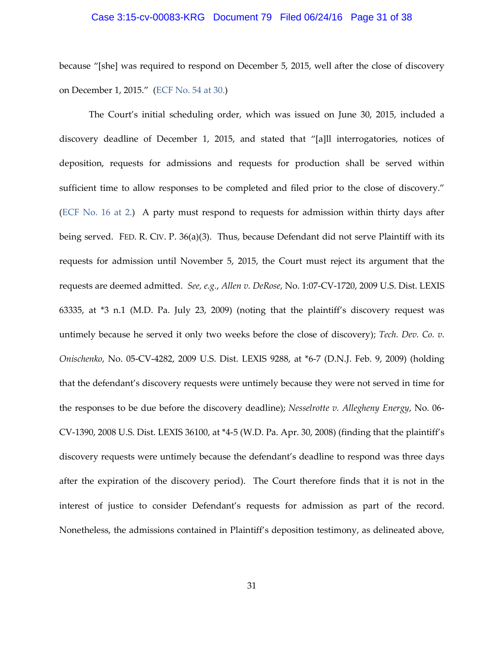#### Case 3:15-cv-00083-KRG Document 79 Filed 06/24/16 Page 31 of 38

because "[she] was required to respond on December 5, 2015, well after the close of discovery on December 1, 2015." [\(ECF No. 54 at 30.\)](https://ecf.pawd.uscourts.gov/doc1/15715053672)

The Court's initial scheduling order, which was issued on June 30, 2015, included a discovery deadline of December 1, 2015, and stated that "[a]ll interrogatories, notices of deposition, requests for admissions and requests for production shall be served within sufficient time to allow responses to be completed and filed prior to the close of discovery." [\(ECF No. 16 at 2.\)](https://ecf.pawd.uscourts.gov/doc1/15714804520) A party must respond to requests for admission within thirty days after being served. FED. R. CIV. P. 36(a)(3). Thus, because Defendant did not serve Plaintiff with its requests for admission until November 5, 2015, the Court must reject its argument that the requests are deemed admitted. *See, e.g.*, *Allen v. DeRose*, No. 1:07-CV-1720, 2009 U.S. Dist. LEXIS 63335, at \*3 n.1 (M.D. Pa. July 23, 2009) (noting that the plaintiff's discovery request was untimely because he served it only two weeks before the close of discovery); *Tech. Dev. Co. v. Onischenko*, No. 05-CV-4282, 2009 U.S. Dist. LEXIS 9288, at \*6-7 (D.N.J. Feb. 9, 2009) (holding that the defendant's discovery requests were untimely because they were not served in time for the responses to be due before the discovery deadline); *Nesselrotte v. Allegheny Energy*, No. 06- CV-1390, 2008 U.S. Dist. LEXIS 36100, at \*4-5 (W.D. Pa. Apr. 30, 2008) (finding that the plaintiff's discovery requests were untimely because the defendant's deadline to respond was three days after the expiration of the discovery period). The Court therefore finds that it is not in the interest of justice to consider Defendant's requests for admission as part of the record. Nonetheless, the admissions contained in Plaintiff's deposition testimony, as delineated above,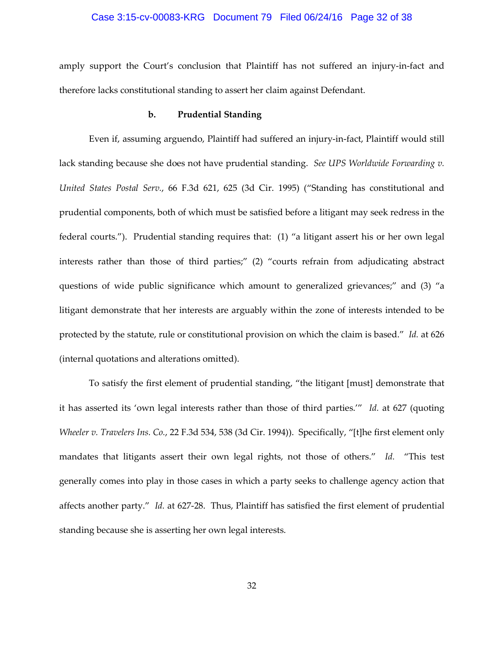## Case 3:15-cv-00083-KRG Document 79 Filed 06/24/16 Page 32 of 38

amply support the Court's conclusion that Plaintiff has not suffered an injury-in-fact and therefore lacks constitutional standing to assert her claim against Defendant.

## **b. Prudential Standing**

Even if, assuming arguendo, Plaintiff had suffered an injury-in-fact, Plaintiff would still lack standing because she does not have prudential standing. *See UPS Worldwide Forwarding v. United States Postal Serv.*, 66 F.3d 621, 625 (3d Cir. 1995) ("Standing has constitutional and prudential components, both of which must be satisfied before a litigant may seek redress in the federal courts."). Prudential standing requires that: (1) "a litigant assert his or her own legal interests rather than those of third parties;" (2) "courts refrain from adjudicating abstract questions of wide public significance which amount to generalized grievances;" and (3) "a litigant demonstrate that her interests are arguably within the zone of interests intended to be protected by the statute, rule or constitutional provision on which the claim is based." *Id.* at 626 (internal quotations and alterations omitted).

To satisfy the first element of prudential standing, "the litigant [must] demonstrate that it has asserted its 'own legal interests rather than those of third parties.'" *Id.* at 627 (quoting *Wheeler v. Travelers Ins. Co.*, 22 F.3d 534, 538 (3d Cir. 1994)). Specifically, "[t]he first element only mandates that litigants assert their own legal rights, not those of others." *Id.* "This test generally comes into play in those cases in which a party seeks to challenge agency action that affects another party." *Id.* at 627-28. Thus, Plaintiff has satisfied the first element of prudential standing because she is asserting her own legal interests.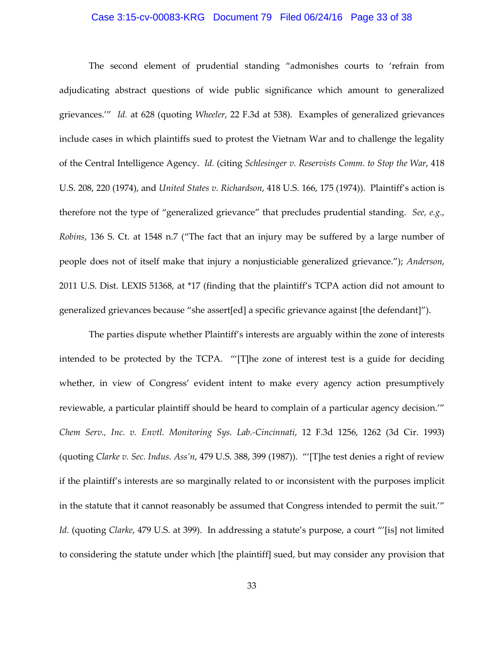## Case 3:15-cv-00083-KRG Document 79 Filed 06/24/16 Page 33 of 38

The second element of prudential standing "admonishes courts to 'refrain from adjudicating abstract questions of wide public significance which amount to generalized grievances.'" *Id.* at 628 (quoting *Wheeler*, 22 F.3d at 538). Examples of generalized grievances include cases in which plaintiffs sued to protest the Vietnam War and to challenge the legality of the Central Intelligence Agency. *Id.* (citing *Schlesinger v. Reservists Comm. to Stop the War*, 418 U.S. 208, 220 (1974), and *United States v. Richardson*, 418 U.S. 166, 175 (1974)). Plaintiff's action is therefore not the type of "generalized grievance" that precludes prudential standing. *See, e.g.*, *Robins*, 136 S. Ct. at 1548 n.7 ("The fact that an injury may be suffered by a large number of people does not of itself make that injury a nonjusticiable generalized grievance."); *Anderson*, 2011 U.S. Dist. LEXIS 51368, at \*17 (finding that the plaintiff's TCPA action did not amount to generalized grievances because "she assert[ed] a specific grievance against [the defendant]").

The parties dispute whether Plaintiff's interests are arguably within the zone of interests intended to be protected by the TCPA. "'[T]he zone of interest test is a guide for deciding whether, in view of Congress' evident intent to make every agency action presumptively reviewable, a particular plaintiff should be heard to complain of a particular agency decision.'" *Chem Serv., Inc. v. Envtl. Monitoring Sys. Lab.-Cincinnati*, 12 F.3d 1256, 1262 (3d Cir. 1993) (quoting *Clarke v. Sec. Indus. Ass'n*, 479 U.S. 388, 399 (1987)). "'[T]he test denies a right of review if the plaintiff's interests are so marginally related to or inconsistent with the purposes implicit in the statute that it cannot reasonably be assumed that Congress intended to permit the suit.'" *Id.* (quoting *Clarke*, 479 U.S. at 399). In addressing a statute's purpose, a court "'[is] not limited to considering the statute under which [the plaintiff] sued, but may consider any provision that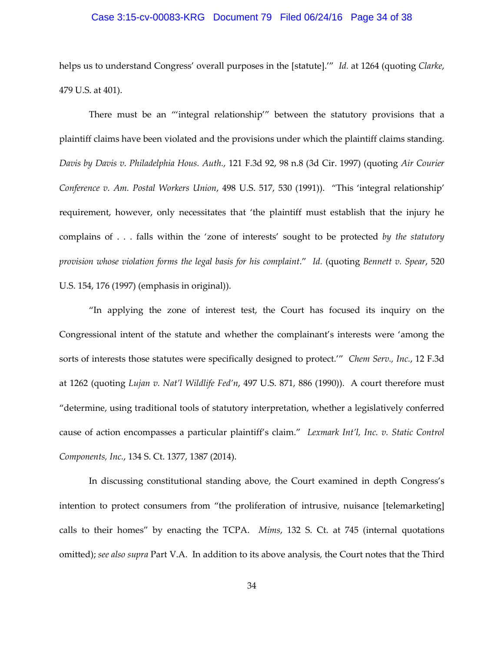## Case 3:15-cv-00083-KRG Document 79 Filed 06/24/16 Page 34 of 38

helps us to understand Congress' overall purposes in the [statute].'" *Id.* at 1264 (quoting *Clarke*, 479 U.S. at 401).

There must be an "'integral relationship'" between the statutory provisions that a plaintiff claims have been violated and the provisions under which the plaintiff claims standing. *Davis by Davis v. Philadelphia Hous. Auth.*, 121 F.3d 92, 98 n.8 (3d Cir. 1997) (quoting *Air Courier Conference v. Am. Postal Workers Union*, 498 U.S. 517, 530 (1991)). "This 'integral relationship' requirement, however, only necessitates that 'the plaintiff must establish that the injury he complains of . . . falls within the 'zone of interests' sought to be protected *by the statutory provision whose violation forms the legal basis for his complaint*." *Id.* (quoting *Bennett v. Spear*, 520 U.S. 154, 176 (1997) (emphasis in original)).

"In applying the zone of interest test, the Court has focused its inquiry on the Congressional intent of the statute and whether the complainant's interests were 'among the sorts of interests those statutes were specifically designed to protect.'" *Chem Serv., Inc.*, 12 F.3d at 1262 (quoting *Lujan v. Nat'l Wildlife Fed'n*, 497 U.S. 871, 886 (1990)). A court therefore must "determine, using traditional tools of statutory interpretation, whether a legislatively conferred cause of action encompasses a particular plaintiff's claim." *Lexmark Int'l, Inc. v. Static Control Components, Inc.*, 134 S. Ct. 1377, 1387 (2014).

In discussing constitutional standing above, the Court examined in depth Congress's intention to protect consumers from "the proliferation of intrusive, nuisance [telemarketing] calls to their homes" by enacting the TCPA. *Mims*, 132 S. Ct. at 745 (internal quotations omitted); *see also supra* Part V.A. In addition to its above analysis, the Court notes that the Third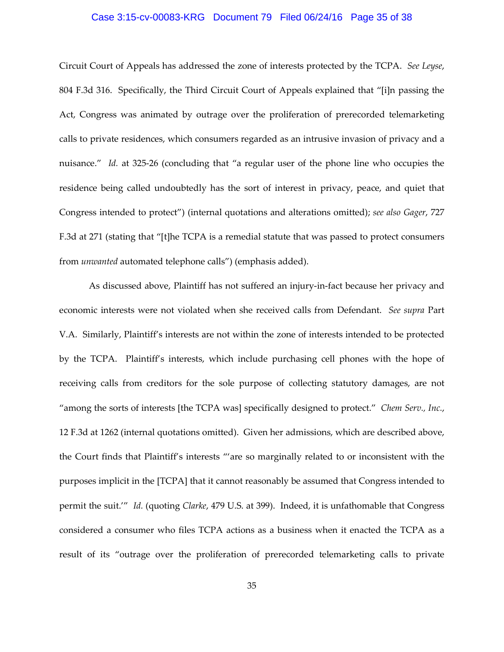## Case 3:15-cv-00083-KRG Document 79 Filed 06/24/16 Page 35 of 38

Circuit Court of Appeals has addressed the zone of interests protected by the TCPA. *See Leyse*, 804 F.3d 316. Specifically, the Third Circuit Court of Appeals explained that "[i]n passing the Act, Congress was animated by outrage over the proliferation of prerecorded telemarketing calls to private residences, which consumers regarded as an intrusive invasion of privacy and a nuisance." *Id.* at 325-26 (concluding that "a regular user of the phone line who occupies the residence being called undoubtedly has the sort of interest in privacy, peace, and quiet that Congress intended to protect") (internal quotations and alterations omitted); *see also Gager*, 727 F.3d at 271 (stating that "[t]he TCPA is a remedial statute that was passed to protect consumers from *unwanted* automated telephone calls") (emphasis added).

As discussed above, Plaintiff has not suffered an injury-in-fact because her privacy and economic interests were not violated when she received calls from Defendant. *See supra* Part V.A. Similarly, Plaintiff's interests are not within the zone of interests intended to be protected by the TCPA. Plaintiff's interests, which include purchasing cell phones with the hope of receiving calls from creditors for the sole purpose of collecting statutory damages, are not "among the sorts of interests [the TCPA was] specifically designed to protect." *Chem Serv., Inc.*, 12 F.3d at 1262 (internal quotations omitted). Given her admissions, which are described above, the Court finds that Plaintiff's interests "'are so marginally related to or inconsistent with the purposes implicit in the [TCPA] that it cannot reasonably be assumed that Congress intended to permit the suit.'" *Id.* (quoting *Clarke*, 479 U.S. at 399). Indeed, it is unfathomable that Congress considered a consumer who files TCPA actions as a business when it enacted the TCPA as a result of its "outrage over the proliferation of prerecorded telemarketing calls to private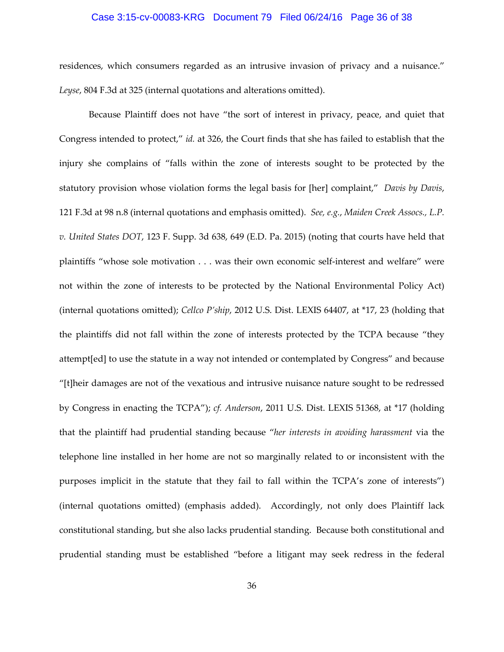## Case 3:15-cv-00083-KRG Document 79 Filed 06/24/16 Page 36 of 38

residences, which consumers regarded as an intrusive invasion of privacy and a nuisance." *Leyse*, 804 F.3d at 325 (internal quotations and alterations omitted).

Because Plaintiff does not have "the sort of interest in privacy, peace, and quiet that Congress intended to protect," *id.* at 326, the Court finds that she has failed to establish that the injury she complains of "falls within the zone of interests sought to be protected by the statutory provision whose violation forms the legal basis for [her] complaint," *Davis by Davis*, 121 F.3d at 98 n.8 (internal quotations and emphasis omitted). *See, e.g.*, *Maiden Creek Assocs., L.P. v. United States DOT*, 123 F. Supp. 3d 638, 649 (E.D. Pa. 2015) (noting that courts have held that plaintiffs "whose sole motivation . . . was their own economic self-interest and welfare" were not within the zone of interests to be protected by the National Environmental Policy Act) (internal quotations omitted); *Cellco P'ship*, 2012 U.S. Dist. LEXIS 64407, at \*17, 23 (holding that the plaintiffs did not fall within the zone of interests protected by the TCPA because "they attempt[ed] to use the statute in a way not intended or contemplated by Congress" and because "[t]heir damages are not of the vexatious and intrusive nuisance nature sought to be redressed by Congress in enacting the TCPA"); *cf. Anderson*, 2011 U.S. Dist. LEXIS 51368, at \*17 (holding that the plaintiff had prudential standing because "*her interests in avoiding harassment* via the telephone line installed in her home are not so marginally related to or inconsistent with the purposes implicit in the statute that they fail to fall within the TCPA's zone of interests") (internal quotations omitted) (emphasis added). Accordingly, not only does Plaintiff lack constitutional standing, but she also lacks prudential standing. Because both constitutional and prudential standing must be established "before a litigant may seek redress in the federal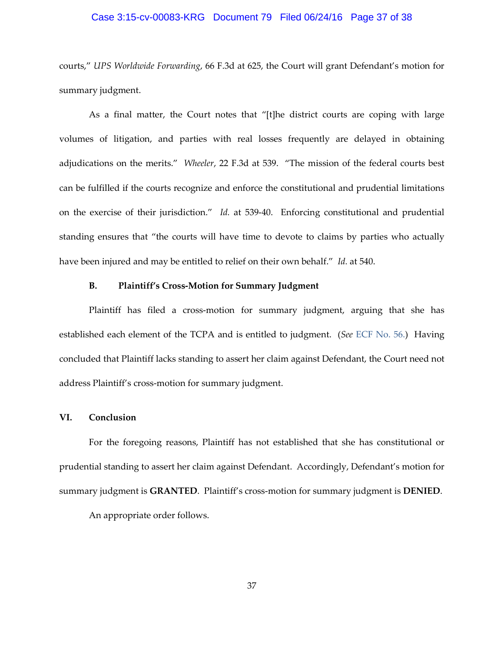## Case 3:15-cv-00083-KRG Document 79 Filed 06/24/16 Page 37 of 38

courts," *UPS Worldwide Forwarding*, 66 F.3d at 625, the Court will grant Defendant's motion for summary judgment.

As a final matter, the Court notes that "[t]he district courts are coping with large volumes of litigation, and parties with real losses frequently are delayed in obtaining adjudications on the merits." *Wheeler*, 22 F.3d at 539. "The mission of the federal courts best can be fulfilled if the courts recognize and enforce the constitutional and prudential limitations on the exercise of their jurisdiction." *Id.* at 539-40. Enforcing constitutional and prudential standing ensures that "the courts will have time to devote to claims by parties who actually have been injured and may be entitled to relief on their own behalf." *Id.* at 540.

## **B. Plaintiff's Cross-Motion for Summary Judgment**

Plaintiff has filed a cross-motion for summary judgment, arguing that she has established each element of the TCPA and is entitled to judgment. (*See* [ECF No. 56.\)](https://ecf.pawd.uscourts.gov/doc1/15715062301) Having concluded that Plaintiff lacks standing to assert her claim against Defendant, the Court need not address Plaintiff's cross-motion for summary judgment.

#### **VI. Conclusion**

For the foregoing reasons, Plaintiff has not established that she has constitutional or prudential standing to assert her claim against Defendant. Accordingly, Defendant's motion for summary judgment is **GRANTED**. Plaintiff's cross-motion for summary judgment is **DENIED**. An appropriate order follows.